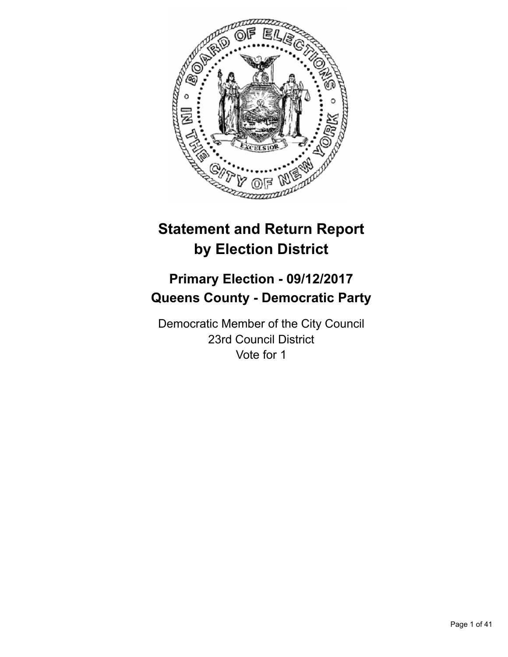

# **Statement and Return Report by Election District**

# **Primary Election - 09/12/2017 Queens County - Democratic Party**

Democratic Member of the City Council 23rd Council District Vote for 1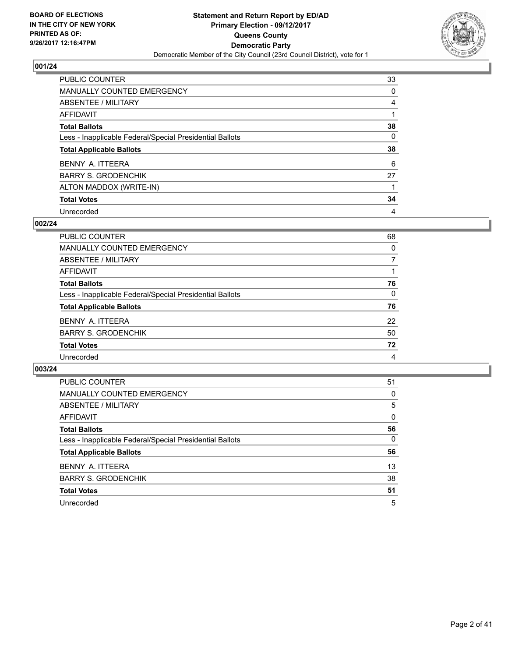

| PUBLIC COUNTER                                           | 33 |
|----------------------------------------------------------|----|
| <b>MANUALLY COUNTED EMERGENCY</b>                        | 0  |
| ABSENTEE / MILITARY                                      | 4  |
| AFFIDAVIT                                                |    |
| <b>Total Ballots</b>                                     | 38 |
| Less - Inapplicable Federal/Special Presidential Ballots | 0  |
| <b>Total Applicable Ballots</b>                          | 38 |
| BENNY A. ITTEERA                                         | 6  |
| <b>BARRY S. GRODENCHIK</b>                               | 27 |
| ALTON MADDOX (WRITE-IN)                                  |    |
| <b>Total Votes</b>                                       | 34 |
| Unrecorded                                               | 4  |

#### **002/24**

| PUBLIC COUNTER                                           | 68       |
|----------------------------------------------------------|----------|
| MANUALLY COUNTED EMERGENCY                               | 0        |
| ABSENTEE / MILITARY                                      |          |
| AFFIDAVIT                                                |          |
| <b>Total Ballots</b>                                     | 76       |
| Less - Inapplicable Federal/Special Presidential Ballots | $\Omega$ |
| <b>Total Applicable Ballots</b>                          | 76       |
| BENNY A. ITTEERA                                         | 22       |
| <b>BARRY S. GRODENCHIK</b>                               | 50       |
| <b>Total Votes</b>                                       | 72       |
| Unrecorded                                               | 4        |

| <b>PUBLIC COUNTER</b>                                    | 51 |
|----------------------------------------------------------|----|
| MANUALLY COUNTED EMERGENCY                               | 0  |
| ABSENTEE / MILITARY                                      | 5  |
| AFFIDAVIT                                                | 0  |
| <b>Total Ballots</b>                                     | 56 |
| Less - Inapplicable Federal/Special Presidential Ballots | 0  |
| <b>Total Applicable Ballots</b>                          | 56 |
| BENNY A. ITTEERA                                         | 13 |
| <b>BARRY S. GRODENCHIK</b>                               | 38 |
| <b>Total Votes</b>                                       | 51 |
| Unrecorded                                               | 5  |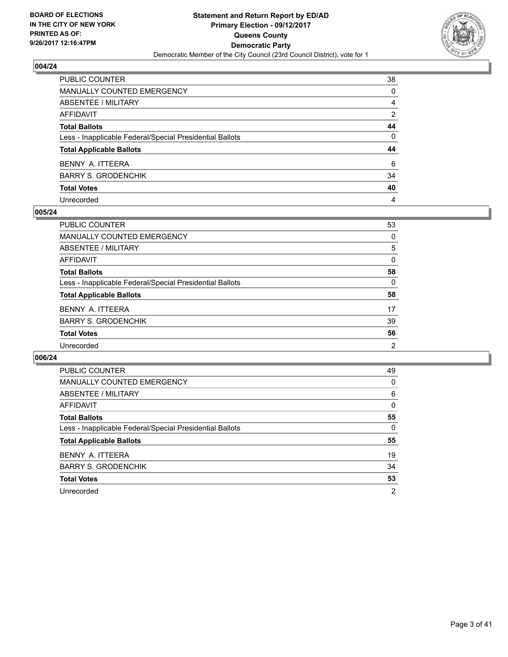

| PUBLIC COUNTER                                           | 38           |
|----------------------------------------------------------|--------------|
| <b>MANUALLY COUNTED EMERGENCY</b>                        | $\Omega$     |
| ABSENTEE / MILITARY                                      | 4            |
| <b>AFFIDAVIT</b>                                         | 2            |
| <b>Total Ballots</b>                                     | 44           |
| Less - Inapplicable Federal/Special Presidential Ballots | $\mathbf{0}$ |
| <b>Total Applicable Ballots</b>                          | 44           |
| BENNY A. ITTEERA                                         | 6            |
| <b>BARRY S. GRODENCHIK</b>                               | 34           |
| <b>Total Votes</b>                                       | 40           |
| Unrecorded                                               | 4            |

#### **005/24**

| <b>PUBLIC COUNTER</b>                                    | 53 |
|----------------------------------------------------------|----|
| <b>MANUALLY COUNTED EMERGENCY</b>                        | 0  |
| ABSENTEE / MILITARY                                      | 5  |
| AFFIDAVIT                                                | 0  |
| <b>Total Ballots</b>                                     | 58 |
| Less - Inapplicable Federal/Special Presidential Ballots | 0  |
| <b>Total Applicable Ballots</b>                          | 58 |
| BENNY A. ITTEERA                                         | 17 |
| <b>BARRY S. GRODENCHIK</b>                               | 39 |
| <b>Total Votes</b>                                       | 56 |
| Unrecorded                                               | 2  |

| <b>PUBLIC COUNTER</b>                                    | 49             |
|----------------------------------------------------------|----------------|
| <b>MANUALLY COUNTED EMERGENCY</b>                        | 0              |
| ABSENTEE / MILITARY                                      | 6              |
| AFFIDAVIT                                                | 0              |
| <b>Total Ballots</b>                                     | 55             |
| Less - Inapplicable Federal/Special Presidential Ballots | 0              |
| <b>Total Applicable Ballots</b>                          | 55             |
| BENNY A. ITTEERA                                         | 19             |
| <b>BARRY S. GRODENCHIK</b>                               | 34             |
| <b>Total Votes</b>                                       | 53             |
| Unrecorded                                               | $\overline{2}$ |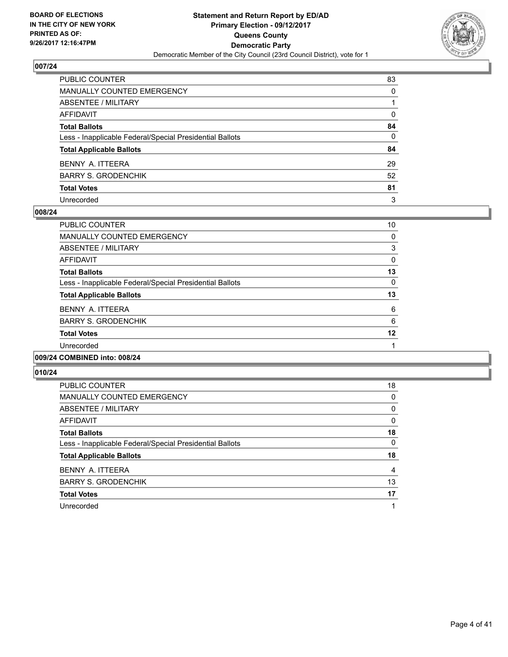

| PUBLIC COUNTER                                           | 83           |
|----------------------------------------------------------|--------------|
| <b>MANUALLY COUNTED EMERGENCY</b>                        | $\Omega$     |
| <b>ABSENTEE / MILITARY</b>                               |              |
| AFFIDAVIT                                                | $\Omega$     |
| <b>Total Ballots</b>                                     | 84           |
| Less - Inapplicable Federal/Special Presidential Ballots | $\mathbf{0}$ |
| <b>Total Applicable Ballots</b>                          | 84           |
| BENNY A. ITTEERA                                         | 29           |
| <b>BARRY S. GRODENCHIK</b>                               | 52           |
| <b>Total Votes</b>                                       | 81           |
| Unrecorded                                               | 3            |

#### **008/24**

| <b>PUBLIC COUNTER</b>                                    | 10 |
|----------------------------------------------------------|----|
| <b>MANUALLY COUNTED EMERGENCY</b>                        | 0  |
| ABSENTEE / MILITARY                                      | 3  |
| AFFIDAVIT                                                | 0  |
| <b>Total Ballots</b>                                     | 13 |
| Less - Inapplicable Federal/Special Presidential Ballots | 0  |
| <b>Total Applicable Ballots</b>                          | 13 |
| BENNY A. ITTEERA                                         | 6  |
| <b>BARRY S. GRODENCHIK</b>                               | 6  |
| <b>Total Votes</b>                                       | 12 |
| Unrecorded                                               |    |
|                                                          |    |

#### **009/24 COMBINED into: 008/24**

| <b>PUBLIC COUNTER</b>                                    | 18 |
|----------------------------------------------------------|----|
| <b>MANUALLY COUNTED EMERGENCY</b>                        | 0  |
| ABSENTEE / MILITARY                                      | 0  |
| AFFIDAVIT                                                | 0  |
| <b>Total Ballots</b>                                     | 18 |
| Less - Inapplicable Federal/Special Presidential Ballots | 0  |
| <b>Total Applicable Ballots</b>                          | 18 |
| BENNY A. ITTEERA                                         | 4  |
| <b>BARRY S. GRODENCHIK</b>                               | 13 |
| <b>Total Votes</b>                                       | 17 |
| Unrecorded                                               |    |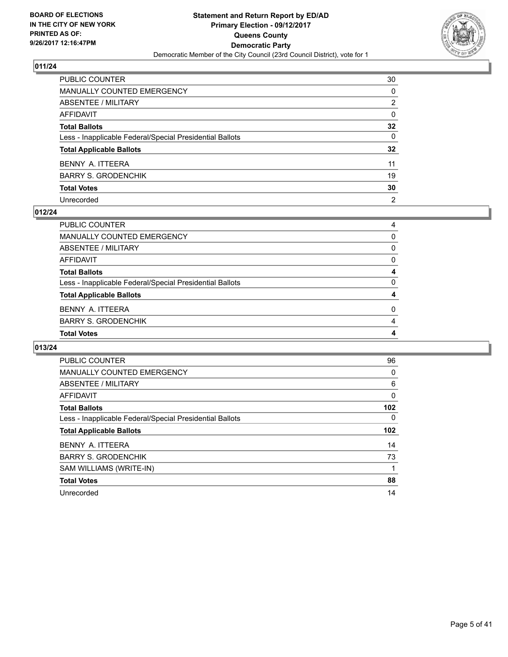

| PUBLIC COUNTER                                           | 30              |
|----------------------------------------------------------|-----------------|
| <b>MANUALLY COUNTED EMERGENCY</b>                        | 0               |
| <b>ABSENTEE / MILITARY</b>                               | 2               |
| AFFIDAVIT                                                | $\Omega$        |
| <b>Total Ballots</b>                                     | 32              |
| Less - Inapplicable Federal/Special Presidential Ballots | $\mathbf{0}$    |
| <b>Total Applicable Ballots</b>                          | $32\phantom{a}$ |
| BENNY A. ITTEERA                                         | 11              |
| BARRY S. GRODENCHIK                                      | 19              |
| <b>Total Votes</b>                                       | 30              |
| Unrecorded                                               | $\overline{2}$  |

#### **012/24**

| <b>Total Votes</b>                                       | 4 |
|----------------------------------------------------------|---|
| <b>BARRY S. GRODENCHIK</b>                               | 4 |
| BENNY A. ITTEERA                                         | 0 |
| <b>Total Applicable Ballots</b>                          |   |
| Less - Inapplicable Federal/Special Presidential Ballots | 0 |
| <b>Total Ballots</b>                                     | 4 |
| AFFIDAVIT                                                | 0 |
| ABSENTEE / MILITARY                                      | 0 |
| <b>MANUALLY COUNTED EMERGENCY</b>                        | 0 |
| PUBLIC COUNTER                                           | 4 |

| <b>PUBLIC COUNTER</b>                                    | 96  |
|----------------------------------------------------------|-----|
| <b>MANUALLY COUNTED EMERGENCY</b>                        | 0   |
| ABSENTEE / MILITARY                                      | 6   |
| AFFIDAVIT                                                | 0   |
| <b>Total Ballots</b>                                     | 102 |
| Less - Inapplicable Federal/Special Presidential Ballots | 0   |
|                                                          |     |
| <b>Total Applicable Ballots</b>                          | 102 |
| BENNY A. ITTEERA                                         | 14  |
| <b>BARRY S. GRODENCHIK</b>                               | 73  |
| SAM WILLIAMS (WRITE-IN)                                  |     |
| <b>Total Votes</b>                                       | 88  |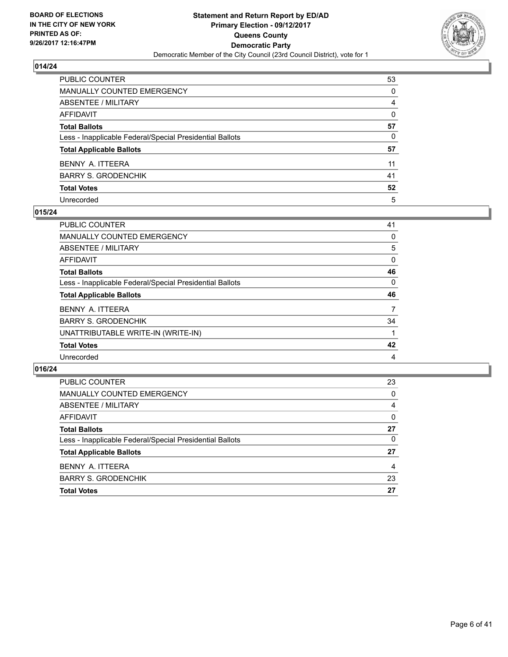

| PUBLIC COUNTER                                           | 53       |
|----------------------------------------------------------|----------|
| <b>MANUALLY COUNTED EMERGENCY</b>                        | $\Omega$ |
| <b>ABSENTEE / MILITARY</b>                               | 4        |
| AFFIDAVIT                                                | $\Omega$ |
| <b>Total Ballots</b>                                     | 57       |
| Less - Inapplicable Federal/Special Presidential Ballots | 0        |
| <b>Total Applicable Ballots</b>                          | 57       |
| BENNY A. ITTEERA                                         | 11       |
| BARRY S. GRODENCHIK                                      | 41       |
| <b>Total Votes</b>                                       | 52       |
| Unrecorded                                               | 5        |

#### **015/24**

| <b>PUBLIC COUNTER</b>                                    | 41 |
|----------------------------------------------------------|----|
| <b>MANUALLY COUNTED EMERGENCY</b>                        | 0  |
| ABSENTEE / MILITARY                                      | 5  |
| AFFIDAVIT                                                | 0  |
| <b>Total Ballots</b>                                     | 46 |
| Less - Inapplicable Federal/Special Presidential Ballots | 0  |
| <b>Total Applicable Ballots</b>                          | 46 |
| BENNY A. ITTEERA                                         | 7  |
| <b>BARRY S. GRODENCHIK</b>                               | 34 |
| UNATTRIBUTABLE WRITE-IN (WRITE-IN)                       |    |
|                                                          |    |
| <b>Total Votes</b>                                       | 42 |

| MANUALLY COUNTED EMERGENCY<br>ABSENTEE / MILITARY<br>4<br>AFFIDAVIT |
|---------------------------------------------------------------------|
|                                                                     |
|                                                                     |
|                                                                     |
| 27<br><b>Total Ballots</b>                                          |
| Less - Inapplicable Federal/Special Presidential Ballots            |
| 27<br><b>Total Applicable Ballots</b>                               |
| BENNY A. ITTEERA                                                    |
| 23<br><b>BARRY S. GRODENCHIK</b>                                    |
| 27<br><b>Total Votes</b>                                            |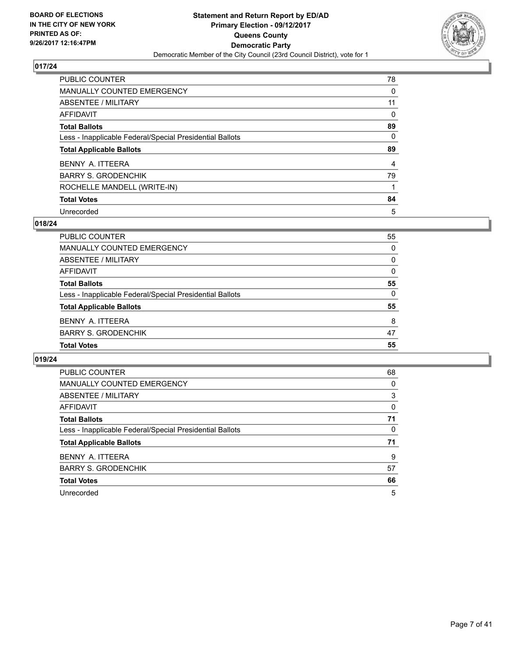

| PUBLIC COUNTER                                           | 78 |
|----------------------------------------------------------|----|
| <b>MANUALLY COUNTED EMERGENCY</b>                        | 0  |
| ABSENTEE / MILITARY                                      | 11 |
| AFFIDAVIT                                                | 0  |
| <b>Total Ballots</b>                                     | 89 |
| Less - Inapplicable Federal/Special Presidential Ballots | 0  |
| <b>Total Applicable Ballots</b>                          | 89 |
| BENNY A. ITTEERA                                         | 4  |
| <b>BARRY S. GRODENCHIK</b>                               | 79 |
| ROCHELLE MANDELL (WRITE-IN)                              |    |
| <b>Total Votes</b>                                       | 84 |
| Unrecorded                                               | 5  |

#### **018/24**

| <b>PUBLIC COUNTER</b>                                    | 55       |
|----------------------------------------------------------|----------|
| MANUALLY COUNTED EMERGENCY                               | 0        |
| ABSENTEE / MILITARY                                      | $\Omega$ |
| AFFIDAVIT                                                | 0        |
| <b>Total Ballots</b>                                     | 55       |
| Less - Inapplicable Federal/Special Presidential Ballots | $\Omega$ |
| <b>Total Applicable Ballots</b>                          | 55       |
| BENNY A. ITTEERA                                         | 8        |
| <b>BARRY S. GRODENCHIK</b>                               | 47       |
| <b>Total Votes</b>                                       | 55       |

| <b>PUBLIC COUNTER</b>                                    | 68 |
|----------------------------------------------------------|----|
| <b>MANUALLY COUNTED EMERGENCY</b>                        | 0  |
| ABSENTEE / MILITARY                                      | 3  |
| AFFIDAVIT                                                | 0  |
| <b>Total Ballots</b>                                     | 71 |
| Less - Inapplicable Federal/Special Presidential Ballots | 0  |
| <b>Total Applicable Ballots</b>                          | 71 |
| BENNY A. ITTEERA                                         | 9  |
| <b>BARRY S. GRODENCHIK</b>                               | 57 |
| <b>Total Votes</b>                                       | 66 |
| Unrecorded                                               | 5  |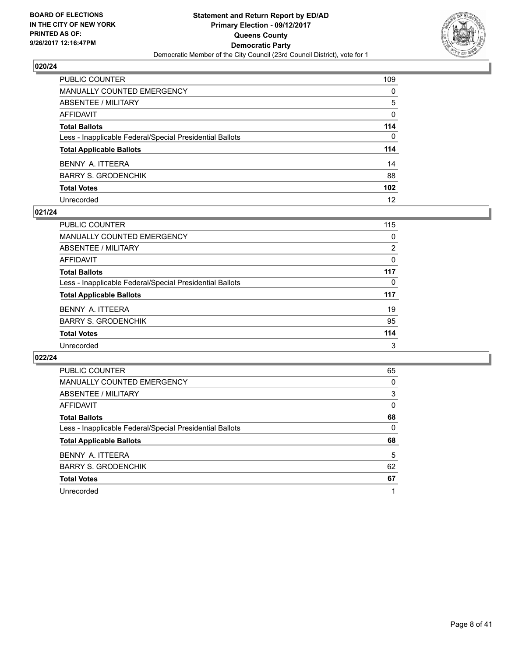

| PUBLIC COUNTER                                           | 109              |
|----------------------------------------------------------|------------------|
| <b>MANUALLY COUNTED EMERGENCY</b>                        | 0                |
| <b>ABSENTEE / MILITARY</b>                               | 5                |
| <b>AFFIDAVIT</b>                                         | 0                |
| <b>Total Ballots</b>                                     | 114              |
| Less - Inapplicable Federal/Special Presidential Ballots | $\mathbf{0}$     |
| <b>Total Applicable Ballots</b>                          | 114              |
| BENNY A. ITTEERA                                         | 14               |
| <b>BARRY S. GRODENCHIK</b>                               | 88               |
| <b>Total Votes</b>                                       | 102 <sub>2</sub> |
| Unrecorded                                               | 12               |

#### **021/24**

| <b>PUBLIC COUNTER</b>                                    | 115      |
|----------------------------------------------------------|----------|
| <b>MANUALLY COUNTED EMERGENCY</b>                        | 0        |
| ABSENTEE / MILITARY                                      | 2        |
| AFFIDAVIT                                                | 0        |
| <b>Total Ballots</b>                                     | 117      |
| Less - Inapplicable Federal/Special Presidential Ballots | $\Omega$ |
| <b>Total Applicable Ballots</b>                          | 117      |
| BENNY A. ITTEERA                                         | 19       |
| <b>BARRY S. GRODENCHIK</b>                               | 95       |
| <b>Total Votes</b>                                       | 114      |
| Unrecorded                                               | 3        |

| <b>PUBLIC COUNTER</b>                                    | 65 |
|----------------------------------------------------------|----|
| MANUALLY COUNTED EMERGENCY                               | 0  |
| ABSENTEE / MILITARY                                      | 3  |
| AFFIDAVIT                                                | 0  |
| <b>Total Ballots</b>                                     | 68 |
| Less - Inapplicable Federal/Special Presidential Ballots | 0  |
| <b>Total Applicable Ballots</b>                          | 68 |
| BENNY A. ITTEERA                                         | 5  |
| <b>BARRY S. GRODENCHIK</b>                               | 62 |
| <b>Total Votes</b>                                       | 67 |
|                                                          |    |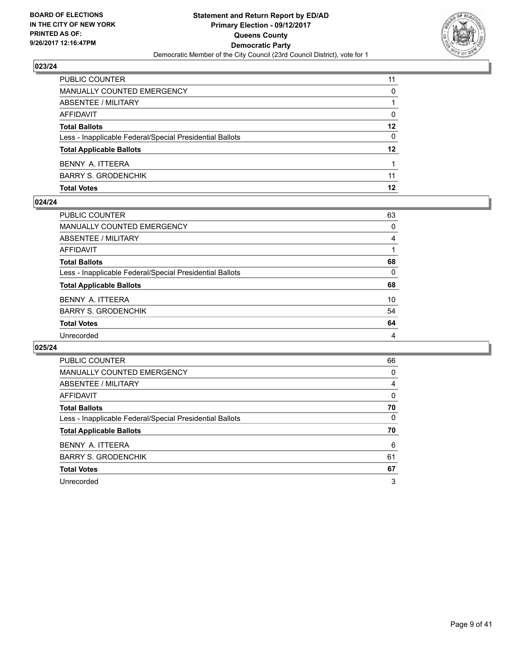

| PUBLIC COUNTER                                           | 11      |
|----------------------------------------------------------|---------|
| MANUALLY COUNTED EMERGENCY                               | 0       |
| ABSENTEE / MILITARY                                      |         |
| AFFIDAVIT                                                | 0       |
| <b>Total Ballots</b>                                     | 12      |
| Less - Inapplicable Federal/Special Presidential Ballots | 0       |
| <b>Total Applicable Ballots</b>                          | $12 \,$ |
| BENNY A. ITTEERA                                         |         |
| <b>BARRY S. GRODENCHIK</b>                               | 11      |
| <b>Total Votes</b>                                       | 12      |

#### **024/24**

| <b>PUBLIC COUNTER</b>                                    | 63       |
|----------------------------------------------------------|----------|
| <b>MANUALLY COUNTED EMERGENCY</b>                        | 0        |
| ABSENTEE / MILITARY                                      | 4        |
| AFFIDAVIT                                                |          |
| <b>Total Ballots</b>                                     | 68       |
| Less - Inapplicable Federal/Special Presidential Ballots | $\Omega$ |
| <b>Total Applicable Ballots</b>                          | 68       |
| BENNY A. ITTEERA                                         | 10       |
| <b>BARRY S. GRODENCHIK</b>                               | 54       |
| <b>Total Votes</b>                                       | 64       |
| Unrecorded                                               | 4        |
|                                                          |          |

| <b>PUBLIC COUNTER</b>                                    | 66 |
|----------------------------------------------------------|----|
| <b>MANUALLY COUNTED EMERGENCY</b>                        | 0  |
| ABSENTEE / MILITARY                                      | 4  |
| AFFIDAVIT                                                | 0  |
| <b>Total Ballots</b>                                     | 70 |
| Less - Inapplicable Federal/Special Presidential Ballots | 0  |
| <b>Total Applicable Ballots</b>                          | 70 |
| BENNY A. ITTEERA                                         | 6  |
| <b>BARRY S. GRODENCHIK</b>                               | 61 |
| <b>Total Votes</b>                                       | 67 |
| Unrecorded                                               | 3  |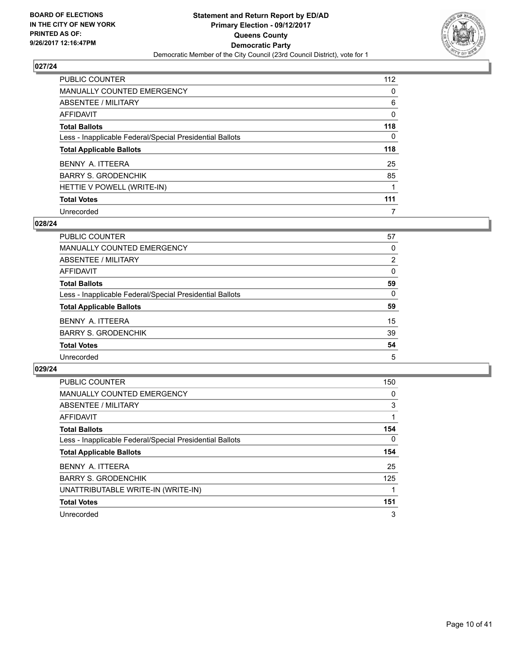

| PUBLIC COUNTER                                           | 112 |
|----------------------------------------------------------|-----|
| <b>MANUALLY COUNTED EMERGENCY</b>                        | 0   |
| ABSENTEE / MILITARY                                      | 6   |
| AFFIDAVIT                                                | 0   |
| <b>Total Ballots</b>                                     | 118 |
| Less - Inapplicable Federal/Special Presidential Ballots | 0   |
| <b>Total Applicable Ballots</b>                          | 118 |
| BENNY A. ITTEERA                                         | 25  |
| <b>BARRY S. GRODENCHIK</b>                               | 85  |
| HETTIE V POWELL (WRITE-IN)                               |     |
| <b>Total Votes</b>                                       | 111 |
| Unrecorded                                               | 7   |

#### **028/24**

| <b>PUBLIC COUNTER</b>                                    | 57             |
|----------------------------------------------------------|----------------|
| <b>MANUALLY COUNTED EMERGENCY</b>                        | 0              |
| ABSENTEE / MILITARY                                      | $\overline{2}$ |
| AFFIDAVIT                                                | 0              |
| <b>Total Ballots</b>                                     | 59             |
| Less - Inapplicable Federal/Special Presidential Ballots | 0              |
| <b>Total Applicable Ballots</b>                          | 59             |
| BENNY A. ITTEERA                                         | 15             |
| <b>BARRY S. GRODENCHIK</b>                               | 39             |
| <b>Total Votes</b>                                       | 54             |
| Unrecorded                                               | 5              |

| <b>PUBLIC COUNTER</b>                                    | 150      |
|----------------------------------------------------------|----------|
| MANUALLY COUNTED EMERGENCY                               | 0        |
| ABSENTEE / MILITARY                                      | 3        |
| <b>AFFIDAVIT</b>                                         |          |
| <b>Total Ballots</b>                                     | 154      |
| Less - Inapplicable Federal/Special Presidential Ballots | $\Omega$ |
| <b>Total Applicable Ballots</b>                          | 154      |
| BENNY A. ITTEERA                                         | 25       |
| <b>BARRY S. GRODENCHIK</b>                               | 125      |
| UNATTRIBUTABLE WRITE-IN (WRITE-IN)                       |          |
| <b>Total Votes</b>                                       | 151      |
| Unrecorded                                               | 3        |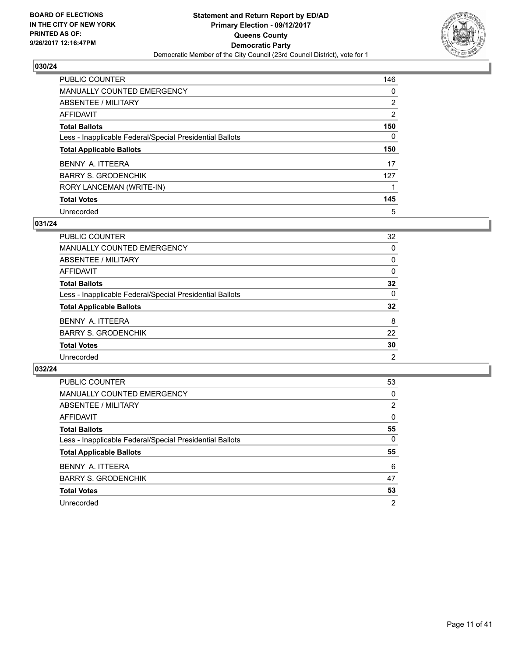

| PUBLIC COUNTER                                           | 146 |
|----------------------------------------------------------|-----|
| <b>MANUALLY COUNTED EMERGENCY</b>                        | 0   |
| ABSENTEE / MILITARY                                      | 2   |
| AFFIDAVIT                                                | 2   |
| <b>Total Ballots</b>                                     | 150 |
| Less - Inapplicable Federal/Special Presidential Ballots | 0   |
| <b>Total Applicable Ballots</b>                          | 150 |
|                                                          |     |
| BENNY A. ITTEERA                                         | 17  |
| <b>BARRY S. GRODENCHIK</b>                               | 127 |
| RORY LANCEMAN (WRITE-IN)                                 |     |
| <b>Total Votes</b>                                       | 145 |

## **031/24**

| <b>PUBLIC COUNTER</b>                                    | 32 |
|----------------------------------------------------------|----|
| MANUALLY COUNTED EMERGENCY                               | 0  |
| ABSENTEE / MILITARY                                      | 0  |
| AFFIDAVIT                                                | 0  |
| <b>Total Ballots</b>                                     | 32 |
| Less - Inapplicable Federal/Special Presidential Ballots | 0  |
| <b>Total Applicable Ballots</b>                          | 32 |
| BENNY A. ITTEERA                                         | 8  |
| <b>BARRY S. GRODENCHIK</b>                               | 22 |
| <b>Total Votes</b>                                       | 30 |
| Unrecorded                                               | 2  |

| <b>PUBLIC COUNTER</b>                                    | 53             |
|----------------------------------------------------------|----------------|
| <b>MANUALLY COUNTED EMERGENCY</b>                        | 0              |
| ABSENTEE / MILITARY                                      | 2              |
| AFFIDAVIT                                                | 0              |
| <b>Total Ballots</b>                                     | 55             |
| Less - Inapplicable Federal/Special Presidential Ballots | 0              |
| <b>Total Applicable Ballots</b>                          | 55             |
| BENNY A. ITTEERA                                         | 6              |
| <b>BARRY S. GRODENCHIK</b>                               | 47             |
| <b>Total Votes</b>                                       | 53             |
| Unrecorded                                               | $\overline{2}$ |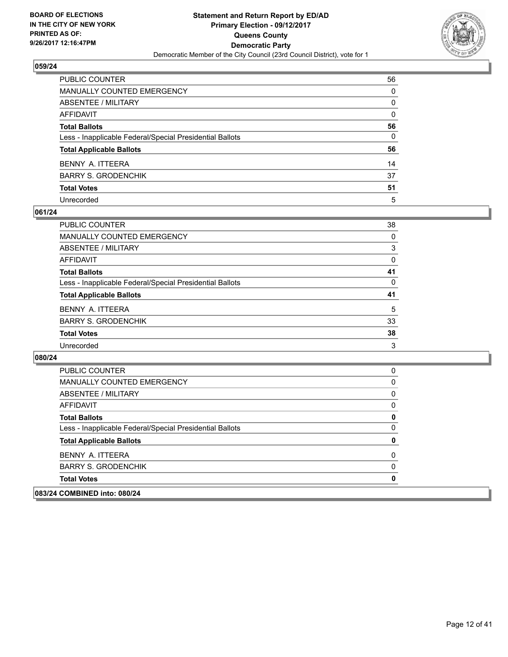

| PUBLIC COUNTER                                           | 56           |
|----------------------------------------------------------|--------------|
| MANUALLY COUNTED EMERGENCY                               | $\Omega$     |
| <b>ABSENTEE / MILITARY</b>                               | $\mathbf{0}$ |
| <b>AFFIDAVIT</b>                                         | $\mathbf{0}$ |
| <b>Total Ballots</b>                                     | 56           |
| Less - Inapplicable Federal/Special Presidential Ballots | 0            |
| <b>Total Applicable Ballots</b>                          | 56           |
| BENNY A. ITTEERA                                         | 14           |
| <b>BARRY S. GRODENCHIK</b>                               | 37           |
| <b>Total Votes</b>                                       | 51           |
| Unrecorded                                               | 5            |

#### **061/24**

| PUBLIC COUNTER                                           | 38 |
|----------------------------------------------------------|----|
| <b>MANUALLY COUNTED EMERGENCY</b>                        | 0  |
| <b>ABSENTEE / MILITARY</b>                               | 3  |
| AFFIDAVIT                                                | 0  |
| <b>Total Ballots</b>                                     | 41 |
| Less - Inapplicable Federal/Special Presidential Ballots | 0  |
| <b>Total Applicable Ballots</b>                          | 41 |
| BENNY A. ITTEERA                                         | 5  |
| <b>BARRY S. GRODENCHIK</b>                               | 33 |
| <b>Total Votes</b>                                       | 38 |
| Unrecorded                                               | 3  |

| <b>Total Votes</b>                                       | 0 |
|----------------------------------------------------------|---|
| <b>BARRY S. GRODENCHIK</b>                               | 0 |
| BENNY A. ITTEERA                                         | 0 |
| <b>Total Applicable Ballots</b>                          | 0 |
| Less - Inapplicable Federal/Special Presidential Ballots | 0 |
| <b>Total Ballots</b>                                     | 0 |
| AFFIDAVIT                                                | 0 |
| ABSENTEE / MILITARY                                      | 0 |
| MANUALLY COUNTED EMERGENCY                               | 0 |
| PUBLIC COUNTER                                           | 0 |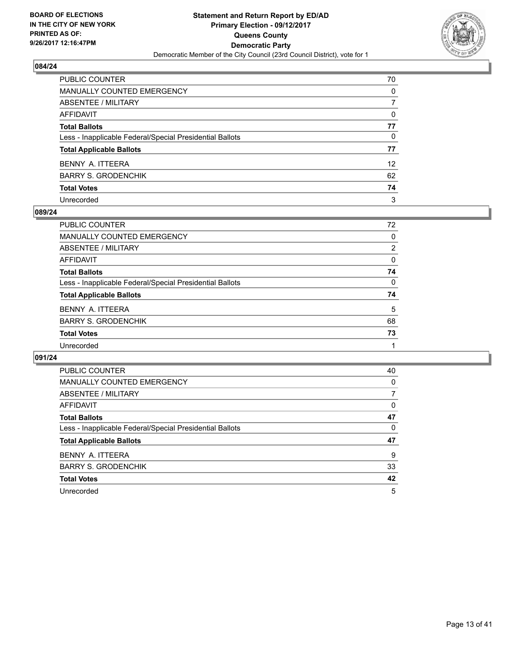

| PUBLIC COUNTER                                           | 70              |
|----------------------------------------------------------|-----------------|
| <b>MANUALLY COUNTED EMERGENCY</b>                        | $\mathbf{0}$    |
| <b>ABSENTEE / MILITARY</b>                               | 7               |
| <b>AFFIDAVIT</b>                                         | $\Omega$        |
| <b>Total Ballots</b>                                     | 77              |
| Less - Inapplicable Federal/Special Presidential Ballots | 0               |
| <b>Total Applicable Ballots</b>                          | 77              |
| BENNY A. ITTEERA                                         | 12 <sup>2</sup> |
| <b>BARRY S. GRODENCHIK</b>                               | 62              |
| <b>Total Votes</b>                                       | 74              |
| Unrecorded                                               | 3               |

#### **089/24**

| <b>PUBLIC COUNTER</b>                                    | 72       |
|----------------------------------------------------------|----------|
| MANUALLY COUNTED EMERGENCY                               | 0        |
| ABSENTEE / MILITARY                                      | 2        |
| AFFIDAVIT                                                | $\Omega$ |
| <b>Total Ballots</b>                                     | 74       |
| Less - Inapplicable Federal/Special Presidential Ballots | 0        |
| <b>Total Applicable Ballots</b>                          | 74       |
| BENNY A. ITTEERA                                         | 5        |
| <b>BARRY S. GRODENCHIK</b>                               | 68       |
| <b>Total Votes</b>                                       | 73       |
| Unrecorded                                               |          |

| PUBLIC COUNTER                                           | 40 |
|----------------------------------------------------------|----|
| <b>MANUALLY COUNTED EMERGENCY</b>                        | 0  |
| ABSENTEE / MILITARY                                      | 7  |
| AFFIDAVIT                                                | 0  |
| <b>Total Ballots</b>                                     | 47 |
| Less - Inapplicable Federal/Special Presidential Ballots | 0  |
| <b>Total Applicable Ballots</b>                          | 47 |
| BENNY A. ITTEERA                                         | 9  |
| <b>BARRY S. GRODENCHIK</b>                               | 33 |
| <b>Total Votes</b>                                       | 42 |
| Unrecorded                                               | 5  |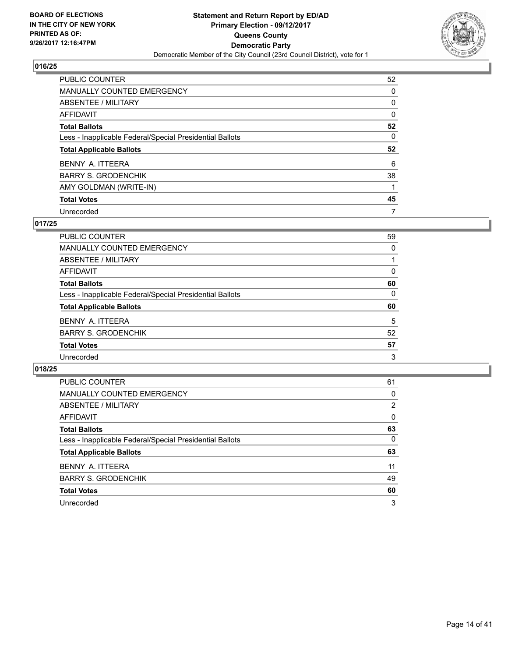

| PUBLIC COUNTER                                           | 52 |
|----------------------------------------------------------|----|
| <b>MANUALLY COUNTED EMERGENCY</b>                        | 0  |
| ABSENTEE / MILITARY                                      | 0  |
| AFFIDAVIT                                                | 0  |
| <b>Total Ballots</b>                                     | 52 |
| Less - Inapplicable Federal/Special Presidential Ballots | 0  |
| <b>Total Applicable Ballots</b>                          | 52 |
|                                                          |    |
| BENNY A. ITTEERA                                         | 6  |
| <b>BARRY S. GRODENCHIK</b>                               | 38 |
| AMY GOLDMAN (WRITE-IN)                                   |    |
| <b>Total Votes</b>                                       | 45 |

#### **017/25**

| <b>PUBLIC COUNTER</b>                                    | 59 |
|----------------------------------------------------------|----|
| <b>MANUALLY COUNTED EMERGENCY</b>                        | 0  |
| ABSENTEE / MILITARY                                      |    |
| AFFIDAVIT                                                | 0  |
| <b>Total Ballots</b>                                     | 60 |
| Less - Inapplicable Federal/Special Presidential Ballots | 0  |
| <b>Total Applicable Ballots</b>                          | 60 |
| BENNY A. ITTEERA                                         | 5  |
| <b>BARRY S. GRODENCHIK</b>                               | 52 |
| <b>Total Votes</b>                                       | 57 |
| Unrecorded                                               | 3  |

| PUBLIC COUNTER                                           | 61 |
|----------------------------------------------------------|----|
| MANUALLY COUNTED EMERGENCY                               | 0  |
| ABSENTEE / MILITARY                                      | 2  |
| AFFIDAVIT                                                | 0  |
| <b>Total Ballots</b>                                     | 63 |
| Less - Inapplicable Federal/Special Presidential Ballots | 0  |
| <b>Total Applicable Ballots</b>                          | 63 |
| BENNY A. ITTEERA                                         | 11 |
| <b>BARRY S. GRODENCHIK</b>                               | 49 |
| <b>Total Votes</b>                                       | 60 |
| Unrecorded                                               | 3  |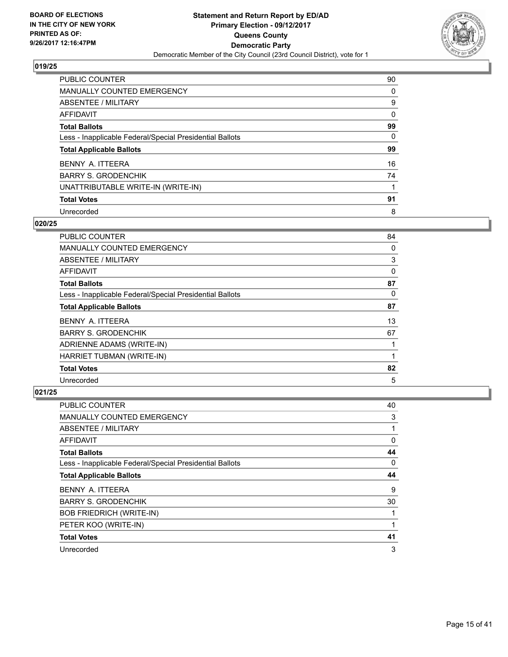

| <b>PUBLIC COUNTER</b>                                    | 90 |
|----------------------------------------------------------|----|
| <b>MANUALLY COUNTED EMERGENCY</b>                        | 0  |
| ABSENTEE / MILITARY                                      | 9  |
| AFFIDAVIT                                                | 0  |
| <b>Total Ballots</b>                                     | 99 |
| Less - Inapplicable Federal/Special Presidential Ballots | 0  |
| <b>Total Applicable Ballots</b>                          | 99 |
| BENNY A. ITTEERA                                         | 16 |
| <b>BARRY S. GRODENCHIK</b>                               | 74 |
| UNATTRIBUTABLE WRITE-IN (WRITE-IN)                       |    |
| <b>Total Votes</b>                                       | 91 |
| Unrecorded                                               | 8  |

#### **020/25**

| PUBLIC COUNTER                                           | 84 |
|----------------------------------------------------------|----|
| <b>MANUALLY COUNTED EMERGENCY</b>                        | 0  |
| ABSENTEE / MILITARY                                      | 3  |
| AFFIDAVIT                                                | 0  |
| <b>Total Ballots</b>                                     | 87 |
| Less - Inapplicable Federal/Special Presidential Ballots | 0  |
| <b>Total Applicable Ballots</b>                          | 87 |
| BENNY A. ITTEERA                                         | 13 |
| <b>BARRY S. GRODENCHIK</b>                               | 67 |
| ADRIENNE ADAMS (WRITE-IN)                                |    |
| HARRIET TUBMAN (WRITE-IN)                                |    |
| <b>Total Votes</b>                                       | 82 |
| Unrecorded                                               | 5  |

| PUBLIC COUNTER                                           | 40       |
|----------------------------------------------------------|----------|
| <b>MANUALLY COUNTED EMERGENCY</b>                        | 3        |
| ABSENTEE / MILITARY                                      |          |
| AFFIDAVIT                                                | 0        |
| <b>Total Ballots</b>                                     | 44       |
| Less - Inapplicable Federal/Special Presidential Ballots | $\Omega$ |
| <b>Total Applicable Ballots</b>                          | 44       |
| BENNY A. ITTEERA                                         | 9        |
| <b>BARRY S. GRODENCHIK</b>                               | 30       |
| <b>BOB FRIEDRICH (WRITE-IN)</b>                          |          |
| PETER KOO (WRITE-IN)                                     |          |
| <b>Total Votes</b>                                       | 41       |
| Unrecorded                                               | 3        |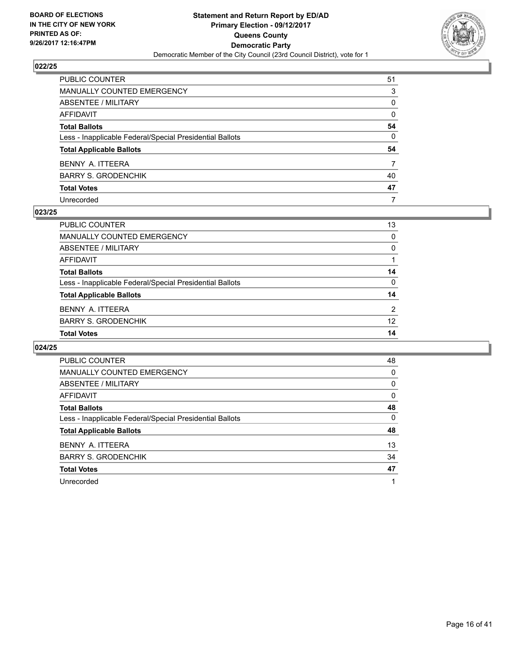

| PUBLIC COUNTER                                           | 51           |
|----------------------------------------------------------|--------------|
| MANUALLY COUNTED EMERGENCY                               | 3            |
| ABSENTEE / MILITARY                                      | 0            |
| AFFIDAVIT                                                | $\mathbf{0}$ |
| Total Ballots                                            | 54           |
| Less - Inapplicable Federal/Special Presidential Ballots | 0            |
| <b>Total Applicable Ballots</b>                          | 54           |
| BENNY A. ITTEERA                                         | 7            |
| BARRY S. GRODENCHIK                                      | 40           |
| <b>Total Votes</b>                                       | 47           |
| Unrecorded                                               | 7            |

#### **023/25**

| <b>Total Votes</b>                                       | 14 |
|----------------------------------------------------------|----|
| <b>BARRY S. GRODENCHIK</b>                               | 12 |
| BENNY A. ITTEERA                                         | 2  |
| <b>Total Applicable Ballots</b>                          | 14 |
| Less - Inapplicable Federal/Special Presidential Ballots | 0  |
| <b>Total Ballots</b>                                     | 14 |
| AFFIDAVIT                                                |    |
| ABSENTEE / MILITARY                                      | 0  |
| MANUALLY COUNTED EMERGENCY                               | 0  |
| PUBLIC COUNTER                                           | 13 |

| <b>PUBLIC COUNTER</b>                                    | 48 |
|----------------------------------------------------------|----|
| MANUALLY COUNTED EMERGENCY                               | 0  |
| ABSENTEE / MILITARY                                      | 0  |
| AFFIDAVIT                                                | 0  |
| <b>Total Ballots</b>                                     | 48 |
| Less - Inapplicable Federal/Special Presidential Ballots | 0  |
| <b>Total Applicable Ballots</b>                          | 48 |
| BENNY A. ITTEERA                                         | 13 |
| <b>BARRY S. GRODENCHIK</b>                               | 34 |
| <b>Total Votes</b>                                       | 47 |
| Unrecorded                                               |    |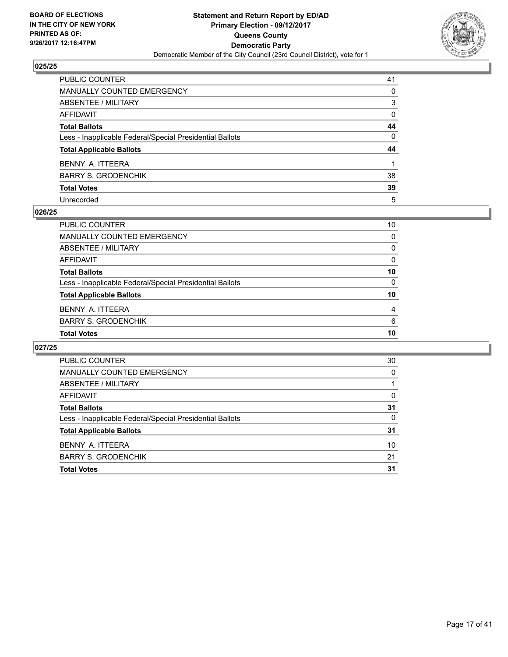

| PUBLIC COUNTER                                           | 41           |
|----------------------------------------------------------|--------------|
| <b>MANUALLY COUNTED EMERGENCY</b>                        | 0            |
| <b>ABSENTEE / MILITARY</b>                               | 3            |
| AFFIDAVIT                                                | $\Omega$     |
| <b>Total Ballots</b>                                     | 44           |
| Less - Inapplicable Federal/Special Presidential Ballots | $\mathbf{0}$ |
| <b>Total Applicable Ballots</b>                          | 44           |
| BENNY A. ITTEERA                                         |              |
| <b>BARRY S. GRODENCHIK</b>                               | 38           |
| <b>Total Votes</b>                                       | 39           |
| Unrecorded                                               | 5            |

#### **026/25**

| <b>PUBLIC COUNTER</b>                                    | 10 |
|----------------------------------------------------------|----|
| MANUALLY COUNTED EMERGENCY                               | 0  |
| ABSENTEE / MILITARY                                      | 0  |
| AFFIDAVIT                                                | 0  |
| <b>Total Ballots</b>                                     | 10 |
| Less - Inapplicable Federal/Special Presidential Ballots | 0  |
| <b>Total Applicable Ballots</b>                          | 10 |
| BENNY A. ITTEERA                                         | 4  |
| <b>BARRY S. GRODENCHIK</b>                               | 6  |
| <b>Total Votes</b>                                       | 10 |
|                                                          |    |

| <b>PUBLIC COUNTER</b>                                    | 30 |
|----------------------------------------------------------|----|
| <b>MANUALLY COUNTED EMERGENCY</b>                        | 0  |
| ABSENTEE / MILITARY                                      |    |
| AFFIDAVIT                                                | 0  |
| <b>Total Ballots</b>                                     | 31 |
| Less - Inapplicable Federal/Special Presidential Ballots | 0  |
| <b>Total Applicable Ballots</b>                          | 31 |
| BENNY A. ITTEERA                                         | 10 |
| <b>BARRY S. GRODENCHIK</b>                               | 21 |
| <b>Total Votes</b>                                       | 31 |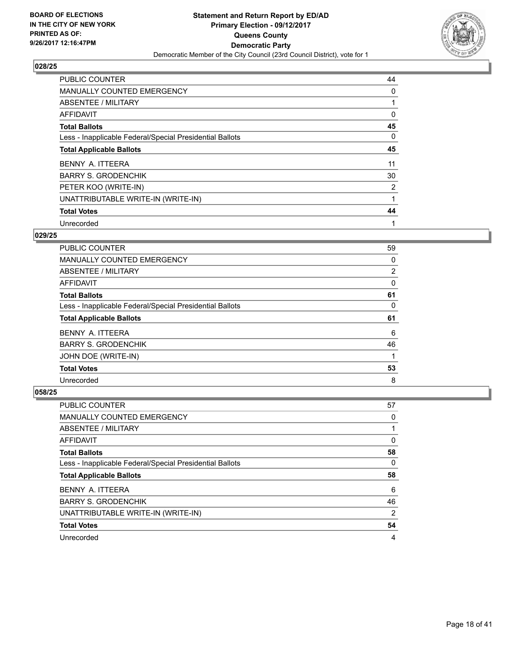

| <b>PUBLIC COUNTER</b>                                    | 44 |
|----------------------------------------------------------|----|
| <b>MANUALLY COUNTED EMERGENCY</b>                        | 0  |
| ABSENTEE / MILITARY                                      |    |
| AFFIDAVIT                                                | 0  |
| <b>Total Ballots</b>                                     | 45 |
| Less - Inapplicable Federal/Special Presidential Ballots | 0  |
| <b>Total Applicable Ballots</b>                          | 45 |
| BENNY A. ITTEERA                                         | 11 |
| <b>BARRY S. GRODENCHIK</b>                               | 30 |
| PETER KOO (WRITE-IN)                                     | 2  |
| UNATTRIBUTABLE WRITE-IN (WRITE-IN)                       |    |
| <b>Total Votes</b>                                       | 44 |
| Unrecorded                                               | 1  |

## **029/25**

| <b>PUBLIC COUNTER</b>                                    | 59 |
|----------------------------------------------------------|----|
| MANUALLY COUNTED EMERGENCY                               | 0  |
| ABSENTEE / MILITARY                                      | 2  |
| AFFIDAVIT                                                | 0  |
| <b>Total Ballots</b>                                     | 61 |
| Less - Inapplicable Federal/Special Presidential Ballots | 0  |
|                                                          |    |
| <b>Total Applicable Ballots</b>                          | 61 |
| BENNY A. ITTEERA                                         | 6  |
| <b>BARRY S. GRODENCHIK</b>                               | 46 |
| JOHN DOE (WRITE-IN)                                      |    |
| <b>Total Votes</b>                                       | 53 |

| <b>PUBLIC COUNTER</b>                                    | 57 |
|----------------------------------------------------------|----|
| <b>MANUALLY COUNTED EMERGENCY</b>                        | 0  |
| ABSENTEE / MILITARY                                      |    |
| AFFIDAVIT                                                | 0  |
| <b>Total Ballots</b>                                     | 58 |
| Less - Inapplicable Federal/Special Presidential Ballots | 0  |
|                                                          |    |
| <b>Total Applicable Ballots</b>                          | 58 |
| BENNY A. ITTEERA                                         | 6  |
| <b>BARRY S. GRODENCHIK</b>                               | 46 |
| UNATTRIBUTABLE WRITE-IN (WRITE-IN)                       | 2  |
| <b>Total Votes</b>                                       | 54 |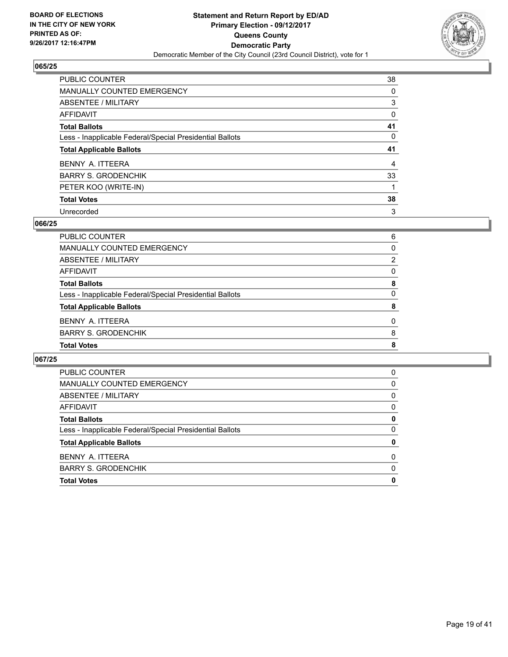

| <b>PUBLIC COUNTER</b>                                    | 38 |
|----------------------------------------------------------|----|
| <b>MANUALLY COUNTED EMERGENCY</b>                        | 0  |
| ABSENTEE / MILITARY                                      | 3  |
| AFFIDAVIT                                                | 0  |
| <b>Total Ballots</b>                                     | 41 |
| Less - Inapplicable Federal/Special Presidential Ballots | 0  |
| <b>Total Applicable Ballots</b>                          | 41 |
| BENNY A. ITTEERA                                         | 4  |
| <b>BARRY S. GRODENCHIK</b>                               | 33 |
| PETER KOO (WRITE-IN)                                     |    |
| <b>Total Votes</b>                                       | 38 |
|                                                          |    |

#### **066/25**

| <b>PUBLIC COUNTER</b>                                    | 6        |
|----------------------------------------------------------|----------|
| MANUALLY COUNTED EMERGENCY                               | 0        |
| ABSENTEE / MILITARY                                      | 2        |
| AFFIDAVIT                                                | 0        |
| <b>Total Ballots</b>                                     | 8        |
| Less - Inapplicable Federal/Special Presidential Ballots | 0        |
| <b>Total Applicable Ballots</b>                          | 8        |
| BENNY A. ITTEERA                                         | $\Omega$ |
| <b>BARRY S. GRODENCHIK</b>                               | 8        |
| <b>Total Votes</b>                                       | 8        |

| PUBLIC COUNTER                                           | 0 |
|----------------------------------------------------------|---|
| MANUALLY COUNTED EMERGENCY                               | 0 |
| ABSENTEE / MILITARY                                      | 0 |
| AFFIDAVIT                                                | 0 |
| <b>Total Ballots</b>                                     | 0 |
| Less - Inapplicable Federal/Special Presidential Ballots | 0 |
| <b>Total Applicable Ballots</b>                          | 0 |
| BENNY A. ITTEERA                                         | 0 |
| <b>BARRY S. GRODENCHIK</b>                               | 0 |
| <b>Total Votes</b>                                       | 0 |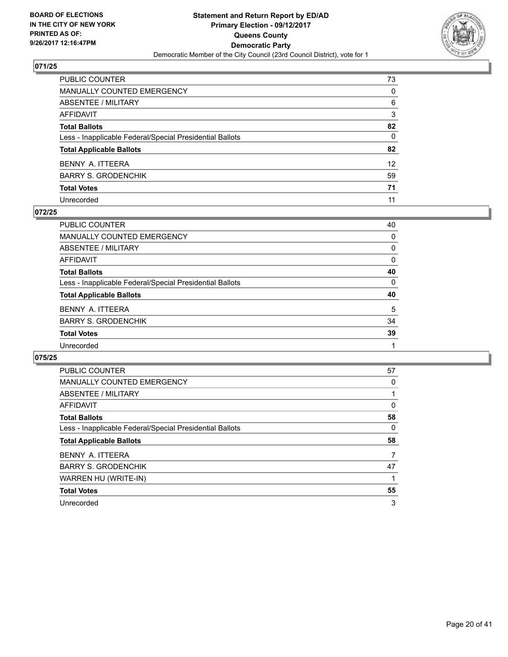

| PUBLIC COUNTER                                           | 73              |
|----------------------------------------------------------|-----------------|
| <b>MANUALLY COUNTED EMERGENCY</b>                        | $\mathbf{0}$    |
| <b>ABSENTEE / MILITARY</b>                               | 6               |
| <b>AFFIDAVIT</b>                                         | 3               |
| <b>Total Ballots</b>                                     | 82              |
| Less - Inapplicable Federal/Special Presidential Ballots | $\mathbf{0}$    |
| <b>Total Applicable Ballots</b>                          | 82              |
| BENNY A. ITTEERA                                         | 12 <sup>2</sup> |
| <b>BARRY S. GRODENCHIK</b>                               | 59              |
| <b>Total Votes</b>                                       | 71              |
| Unrecorded                                               | 11              |

## **072/25**

| <b>PUBLIC COUNTER</b>                                    | 40       |
|----------------------------------------------------------|----------|
| MANUALLY COUNTED EMERGENCY                               | $\Omega$ |
| ABSENTEE / MILITARY                                      | 0        |
| AFFIDAVIT                                                | 0        |
| <b>Total Ballots</b>                                     | 40       |
| Less - Inapplicable Federal/Special Presidential Ballots | $\Omega$ |
| <b>Total Applicable Ballots</b>                          | 40       |
| BENNY A. ITTEERA                                         | 5        |
| <b>BARRY S. GRODENCHIK</b>                               | 34       |
| <b>Total Votes</b>                                       | 39       |
| Unrecorded                                               |          |

| <b>PUBLIC COUNTER</b>                                    | 57 |
|----------------------------------------------------------|----|
| <b>MANUALLY COUNTED EMERGENCY</b>                        | 0  |
| ABSENTEE / MILITARY                                      |    |
| AFFIDAVIT                                                | 0  |
| <b>Total Ballots</b>                                     | 58 |
| Less - Inapplicable Federal/Special Presidential Ballots | 0  |
|                                                          |    |
| <b>Total Applicable Ballots</b>                          | 58 |
| BENNY A. ITTEERA                                         |    |
| <b>BARRY S. GRODENCHIK</b>                               | 47 |
| WARREN HU (WRITE-IN)                                     |    |
| <b>Total Votes</b>                                       | 55 |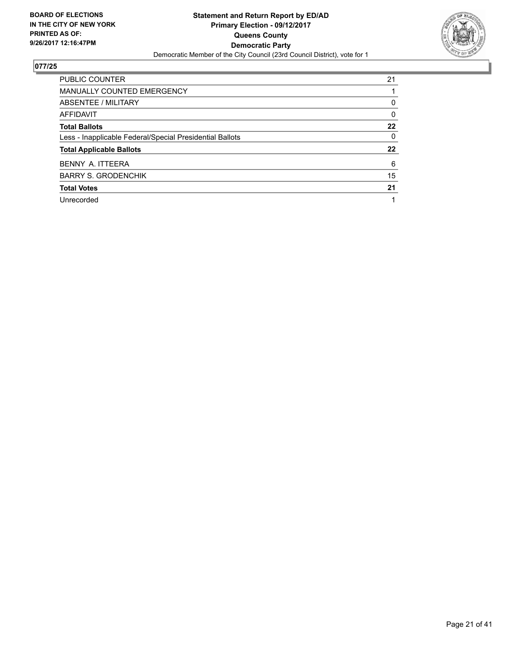

| <b>PUBLIC COUNTER</b>                                    | 21 |
|----------------------------------------------------------|----|
| <b>MANUALLY COUNTED EMERGENCY</b>                        |    |
| ABSENTEE / MILITARY                                      | 0  |
| AFFIDAVIT                                                | 0  |
| <b>Total Ballots</b>                                     | 22 |
| Less - Inapplicable Federal/Special Presidential Ballots | 0  |
| <b>Total Applicable Ballots</b>                          | 22 |
| BENNY A. ITTEERA                                         | 6  |
| <b>BARRY S. GRODENCHIK</b>                               | 15 |
| <b>Total Votes</b>                                       | 21 |
| Unrecorded                                               |    |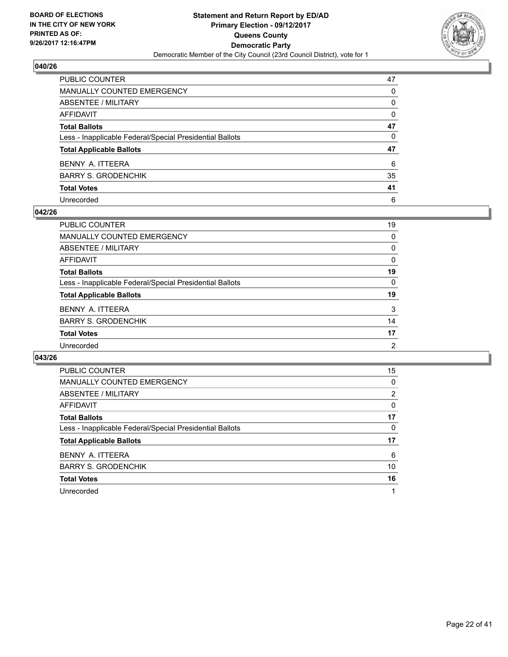

| PUBLIC COUNTER                                           | 47 |
|----------------------------------------------------------|----|
| <b>MANUALLY COUNTED EMERGENCY</b>                        | 0  |
| <b>ABSENTEE / MILITARY</b>                               | 0  |
| AFFIDAVIT                                                | 0  |
| <b>Total Ballots</b>                                     | 47 |
| Less - Inapplicable Federal/Special Presidential Ballots | 0  |
| <b>Total Applicable Ballots</b>                          | 47 |
| BENNY A. ITTEERA                                         | 6  |
| <b>BARRY S. GRODENCHIK</b>                               | 35 |
| <b>Total Votes</b>                                       | 41 |
| Unrecorded                                               | 6  |

#### **042/26**

| <b>PUBLIC COUNTER</b>                                    | 19             |
|----------------------------------------------------------|----------------|
|                                                          |                |
| MANUALLY COUNTED EMERGENCY                               | 0              |
| ABSENTEE / MILITARY                                      | 0              |
| AFFIDAVIT                                                | 0              |
| <b>Total Ballots</b>                                     | 19             |
| Less - Inapplicable Federal/Special Presidential Ballots | $\Omega$       |
| <b>Total Applicable Ballots</b>                          | 19             |
| BENNY A. ITTEERA                                         | 3              |
| <b>BARRY S. GRODENCHIK</b>                               | 14             |
| <b>Total Votes</b>                                       | 17             |
| Unrecorded                                               | $\overline{2}$ |

| <b>PUBLIC COUNTER</b>                                    | 15 |
|----------------------------------------------------------|----|
| <b>MANUALLY COUNTED EMERGENCY</b>                        | 0  |
| ABSENTEE / MILITARY                                      | 2  |
| AFFIDAVIT                                                | 0  |
| <b>Total Ballots</b>                                     | 17 |
| Less - Inapplicable Federal/Special Presidential Ballots | 0  |
| <b>Total Applicable Ballots</b>                          | 17 |
| BENNY A. ITTEERA                                         | 6  |
| <b>BARRY S. GRODENCHIK</b>                               | 10 |
| <b>Total Votes</b>                                       | 16 |
| Unrecorded                                               |    |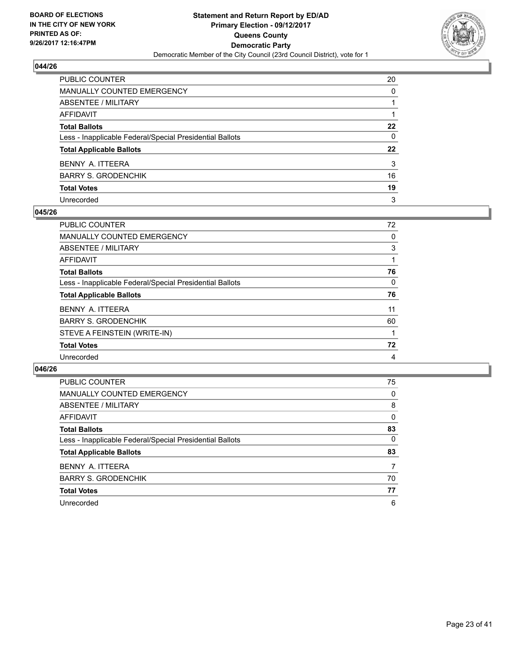

| PUBLIC COUNTER                                           | 20 |
|----------------------------------------------------------|----|
| <b>MANUALLY COUNTED EMERGENCY</b>                        | 0  |
| <b>ABSENTEE / MILITARY</b>                               |    |
| AFFIDAVIT                                                |    |
| <b>Total Ballots</b>                                     | 22 |
| Less - Inapplicable Federal/Special Presidential Ballots | 0  |
| <b>Total Applicable Ballots</b>                          | 22 |
| BENNY A. ITTEERA                                         | 3  |
| <b>BARRY S. GRODENCHIK</b>                               | 16 |
| <b>Total Votes</b>                                       | 19 |
| Unrecorded                                               | 3  |

#### **045/26**

| PUBLIC COUNTER                                           | 72 |
|----------------------------------------------------------|----|
| <b>MANUALLY COUNTED EMERGENCY</b>                        | 0  |
| ABSENTEE / MILITARY                                      | 3  |
| AFFIDAVIT                                                |    |
| <b>Total Ballots</b>                                     | 76 |
| Less - Inapplicable Federal/Special Presidential Ballots | 0  |
| <b>Total Applicable Ballots</b>                          | 76 |
| BENNY A. ITTEERA                                         | 11 |
| <b>BARRY S. GRODENCHIK</b>                               | 60 |
| STEVE A FEINSTEIN (WRITE-IN)                             |    |
| <b>Total Votes</b>                                       | 72 |
| Unrecorded                                               | 4  |
|                                                          |    |

| <b>PUBLIC COUNTER</b>                                    | 75 |
|----------------------------------------------------------|----|
| <b>MANUALLY COUNTED EMERGENCY</b>                        | 0  |
| ABSENTEE / MILITARY                                      | 8  |
| AFFIDAVIT                                                | 0  |
| <b>Total Ballots</b>                                     | 83 |
| Less - Inapplicable Federal/Special Presidential Ballots | 0  |
| <b>Total Applicable Ballots</b>                          | 83 |
| BENNY A. ITTEERA                                         | 7  |
| <b>BARRY S. GRODENCHIK</b>                               | 70 |
| <b>Total Votes</b>                                       | 77 |
| Unrecorded                                               | 6  |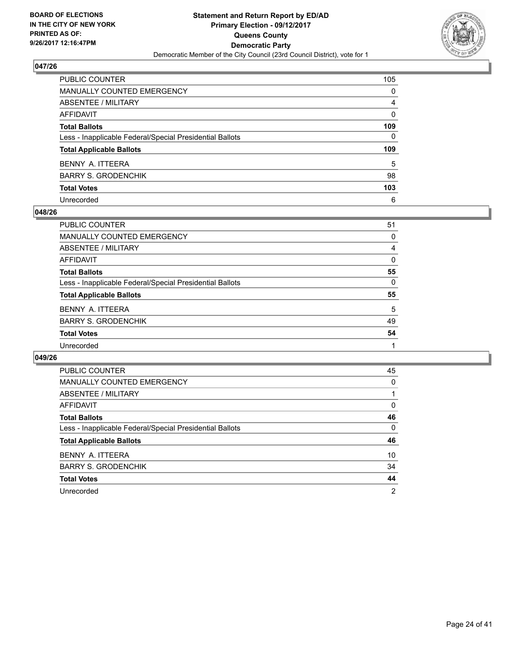

| PUBLIC COUNTER                                           | 105 |
|----------------------------------------------------------|-----|
| <b>MANUALLY COUNTED EMERGENCY</b>                        | 0   |
| <b>ABSENTEE / MILITARY</b>                               | 4   |
| <b>AFFIDAVIT</b>                                         | 0   |
| <b>Total Ballots</b>                                     | 109 |
| Less - Inapplicable Federal/Special Presidential Ballots | 0   |
| <b>Total Applicable Ballots</b>                          | 109 |
| BENNY A. ITTEERA                                         | 5   |
| <b>BARRY S. GRODENCHIK</b>                               | 98  |
| <b>Total Votes</b>                                       | 103 |
| Unrecorded                                               | 6   |

#### **048/26**

| PUBLIC COUNTER                                           | 51 |
|----------------------------------------------------------|----|
| <b>MANUALLY COUNTED EMERGENCY</b>                        | 0  |
| ABSENTEE / MILITARY                                      | 4  |
| AFFIDAVIT                                                | 0  |
| <b>Total Ballots</b>                                     | 55 |
| Less - Inapplicable Federal/Special Presidential Ballots | 0  |
| <b>Total Applicable Ballots</b>                          | 55 |
| BENNY A. ITTEERA                                         | 5  |
| <b>BARRY S. GRODENCHIK</b>                               | 49 |
| <b>Total Votes</b>                                       | 54 |
| Unrecorded                                               |    |
|                                                          |    |

| <b>PUBLIC COUNTER</b>                                    | 45             |
|----------------------------------------------------------|----------------|
| <b>MANUALLY COUNTED EMERGENCY</b>                        | 0              |
| ABSENTEE / MILITARY                                      |                |
| <b>AFFIDAVIT</b>                                         | 0              |
| <b>Total Ballots</b>                                     | 46             |
| Less - Inapplicable Federal/Special Presidential Ballots | 0              |
| <b>Total Applicable Ballots</b>                          | 46             |
| BENNY A. ITTEERA                                         | 10             |
| <b>BARRY S. GRODENCHIK</b>                               | 34             |
| <b>Total Votes</b>                                       | 44             |
| Unrecorded                                               | $\overline{2}$ |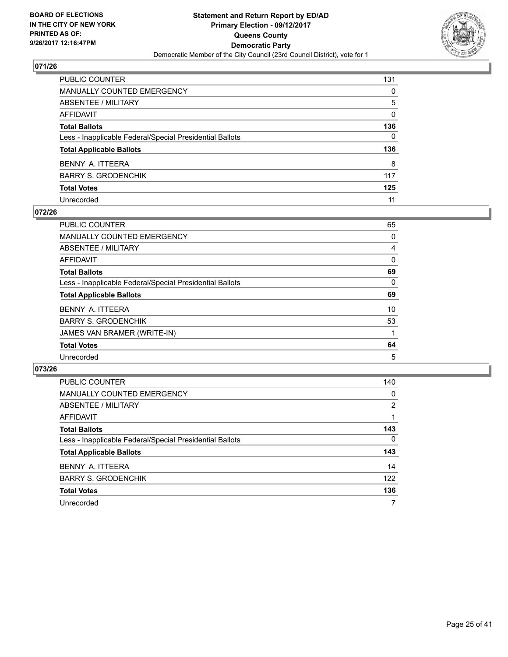

| PUBLIC COUNTER                                           | 131 |
|----------------------------------------------------------|-----|
| <b>MANUALLY COUNTED EMERGENCY</b>                        | 0   |
| <b>ABSENTEE / MILITARY</b>                               | 5   |
| <b>AFFIDAVIT</b>                                         | 0   |
| <b>Total Ballots</b>                                     | 136 |
| Less - Inapplicable Federal/Special Presidential Ballots | 0   |
| <b>Total Applicable Ballots</b>                          | 136 |
| BENNY A. ITTEERA                                         | 8   |
| <b>BARRY S. GRODENCHIK</b>                               | 117 |
| <b>Total Votes</b>                                       | 125 |
| Unrecorded                                               | 11  |

#### **072/26**

| <b>PUBLIC COUNTER</b>                                    | 65 |
|----------------------------------------------------------|----|
| <b>MANUALLY COUNTED EMERGENCY</b>                        | 0  |
| ABSENTEE / MILITARY                                      | 4  |
| AFFIDAVIT                                                | 0  |
| <b>Total Ballots</b>                                     | 69 |
| Less - Inapplicable Federal/Special Presidential Ballots | 0  |
| <b>Total Applicable Ballots</b>                          | 69 |
| BENNY A. ITTEERA                                         | 10 |
| <b>BARRY S. GRODENCHIK</b>                               | 53 |
| JAMES VAN BRAMER (WRITE-IN)                              |    |
| <b>Total Votes</b>                                       | 64 |
| Unrecorded                                               | 5  |

| <b>PUBLIC COUNTER</b>                                    | 140          |
|----------------------------------------------------------|--------------|
| <b>MANUALLY COUNTED EMERGENCY</b>                        | 0            |
| ABSENTEE / MILITARY                                      | 2            |
| AFFIDAVIT                                                |              |
| <b>Total Ballots</b>                                     | 143          |
| Less - Inapplicable Federal/Special Presidential Ballots | $\mathbf{0}$ |
| <b>Total Applicable Ballots</b>                          | 143          |
| BENNY A. ITTEERA                                         | 14           |
| <b>BARRY S. GRODENCHIK</b>                               | 122          |
| <b>Total Votes</b>                                       | 136          |
| Unrecorded                                               | 7            |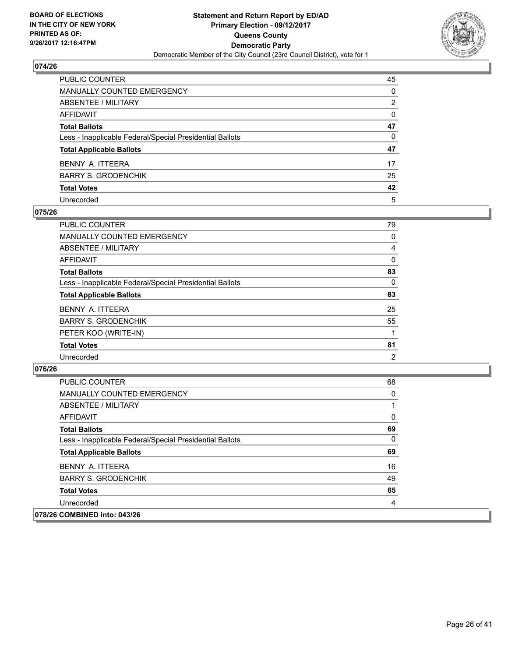

| PUBLIC COUNTER                                           | 45           |
|----------------------------------------------------------|--------------|
| <b>MANUALLY COUNTED EMERGENCY</b>                        | $\mathbf{0}$ |
| ABSENTEE / MILITARY                                      | 2            |
| <b>AFFIDAVIT</b>                                         | $\Omega$     |
| <b>Total Ballots</b>                                     | 47           |
| Less - Inapplicable Federal/Special Presidential Ballots | 0            |
| <b>Total Applicable Ballots</b>                          | 47           |
| BENNY A. ITTEERA                                         | 17           |
| <b>BARRY S. GRODENCHIK</b>                               | 25           |
| <b>Total Votes</b>                                       | 42           |
| Unrecorded                                               | 5            |

#### **075/26**

| <b>PUBLIC COUNTER</b>                                    | 79 |
|----------------------------------------------------------|----|
| <b>MANUALLY COUNTED EMERGENCY</b>                        | 0  |
| ABSENTEE / MILITARY                                      | 4  |
| AFFIDAVIT                                                | 0  |
| <b>Total Ballots</b>                                     | 83 |
| Less - Inapplicable Federal/Special Presidential Ballots | 0  |
| <b>Total Applicable Ballots</b>                          | 83 |
| BENNY A. ITTEERA                                         | 25 |
| <b>BARRY S. GRODENCHIK</b>                               | 55 |
| PETER KOO (WRITE-IN)                                     |    |
| <b>Total Votes</b>                                       | 81 |
| Unrecorded                                               | 2  |
|                                                          |    |

| PUBLIC COUNTER                                           | 68       |
|----------------------------------------------------------|----------|
| <b>MANUALLY COUNTED EMERGENCY</b>                        | 0        |
| ABSENTEE / MILITARY                                      |          |
| AFFIDAVIT                                                | $\Omega$ |
| <b>Total Ballots</b>                                     | 69       |
| Less - Inapplicable Federal/Special Presidential Ballots | $\Omega$ |
| <b>Total Applicable Ballots</b>                          | 69       |
| BENNY A. ITTEERA                                         | 16       |
| <b>BARRY S. GRODENCHIK</b>                               | 49       |
| <b>Total Votes</b>                                       | 65       |
| Unrecorded                                               | 4        |
| 078/26 COMBINED into: 043/26                             |          |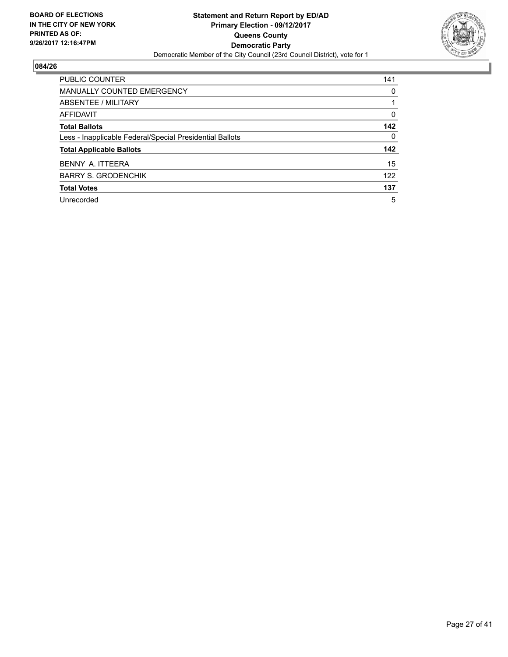

| <b>PUBLIC COUNTER</b>                                    | 141 |
|----------------------------------------------------------|-----|
| <b>MANUALLY COUNTED EMERGENCY</b>                        | 0   |
| ABSENTEE / MILITARY                                      |     |
| AFFIDAVIT                                                | 0   |
| <b>Total Ballots</b>                                     | 142 |
| Less - Inapplicable Federal/Special Presidential Ballots | 0   |
| <b>Total Applicable Ballots</b>                          | 142 |
| BENNY A. ITTEERA                                         | 15  |
| <b>BARRY S. GRODENCHIK</b>                               | 122 |
| <b>Total Votes</b>                                       | 137 |
| Unrecorded                                               | 5   |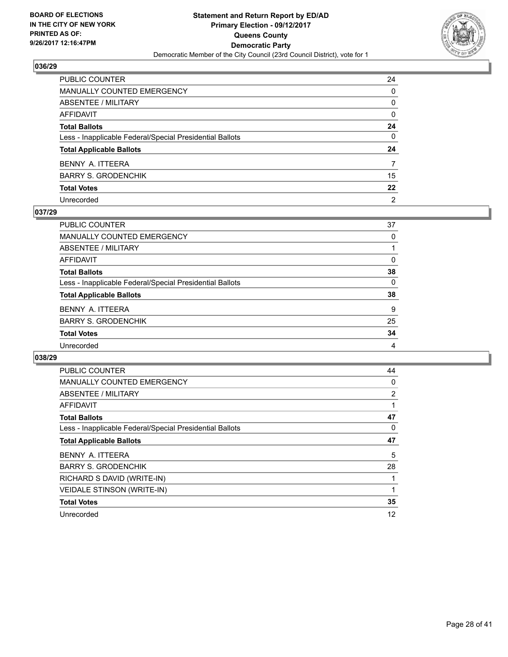

| PUBLIC COUNTER                                           | 24 |
|----------------------------------------------------------|----|
| <b>MANUALLY COUNTED EMERGENCY</b>                        | 0  |
| <b>ABSENTEE / MILITARY</b>                               | 0  |
| AFFIDAVIT                                                | 0  |
| <b>Total Ballots</b>                                     | 24 |
| Less - Inapplicable Federal/Special Presidential Ballots | 0  |
| <b>Total Applicable Ballots</b>                          | 24 |
| BENNY A. ITTEERA                                         | 7  |
| <b>BARRY S. GRODENCHIK</b>                               | 15 |
| <b>Total Votes</b>                                       | 22 |
| Unrecorded                                               | 2  |

#### **037/29**

| <b>PUBLIC COUNTER</b>                                    | 37       |
|----------------------------------------------------------|----------|
| <b>MANUALLY COUNTED EMERGENCY</b>                        | 0        |
| ABSENTEE / MILITARY                                      |          |
| AFFIDAVIT                                                | $\Omega$ |
| <b>Total Ballots</b>                                     | 38       |
| Less - Inapplicable Federal/Special Presidential Ballots | $\Omega$ |
| <b>Total Applicable Ballots</b>                          | 38       |
| BENNY A. ITTEERA                                         | 9        |
| <b>BARRY S. GRODENCHIK</b>                               | 25       |
| <b>Total Votes</b>                                       | 34       |
| Unrecorded                                               | 4        |
|                                                          |          |

| <b>PUBLIC COUNTER</b>                                    | 44 |
|----------------------------------------------------------|----|
| <b>MANUALLY COUNTED EMERGENCY</b>                        | 0  |
| ABSENTEE / MILITARY                                      | 2  |
| AFFIDAVIT                                                |    |
| <b>Total Ballots</b>                                     | 47 |
| Less - Inapplicable Federal/Special Presidential Ballots | 0  |
| <b>Total Applicable Ballots</b>                          | 47 |
| BENNY A. ITTEERA                                         | 5  |
| <b>BARRY S. GRODENCHIK</b>                               | 28 |
| RICHARD S DAVID (WRITE-IN)                               |    |
| VEIDALE STINSON (WRITE-IN)                               | 1  |
| <b>Total Votes</b>                                       | 35 |
| Unrecorded                                               | 12 |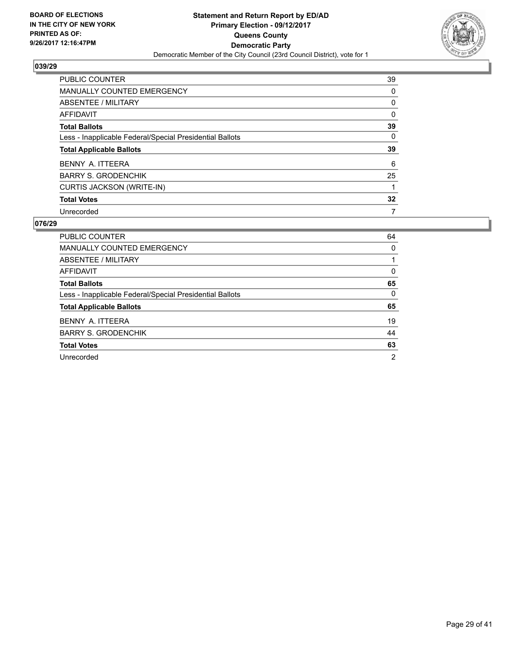

| <b>PUBLIC COUNTER</b>                                    | 39 |
|----------------------------------------------------------|----|
| <b>MANUALLY COUNTED EMERGENCY</b>                        | 0  |
| ABSENTEE / MILITARY                                      | 0  |
| AFFIDAVIT                                                | 0  |
| <b>Total Ballots</b>                                     | 39 |
| Less - Inapplicable Federal/Special Presidential Ballots | 0  |
| <b>Total Applicable Ballots</b>                          | 39 |
| BENNY A. ITTEERA                                         | 6  |
| <b>BARRY S. GRODENCHIK</b>                               | 25 |
| CURTIS JACKSON (WRITE-IN)                                | 1  |
| <b>Total Votes</b>                                       | 32 |
| Unrecorded                                               | 7  |

| <b>PUBLIC COUNTER</b>                                    | 64             |
|----------------------------------------------------------|----------------|
| MANUALLY COUNTED EMERGENCY                               | 0              |
| ABSENTEE / MILITARY                                      |                |
| AFFIDAVIT                                                | 0              |
| <b>Total Ballots</b>                                     | 65             |
| Less - Inapplicable Federal/Special Presidential Ballots | $\Omega$       |
| <b>Total Applicable Ballots</b>                          | 65             |
| BENNY A. ITTEERA                                         | 19             |
| <b>BARRY S. GRODENCHIK</b>                               | 44             |
| <b>Total Votes</b>                                       | 63             |
| Unrecorded                                               | $\overline{2}$ |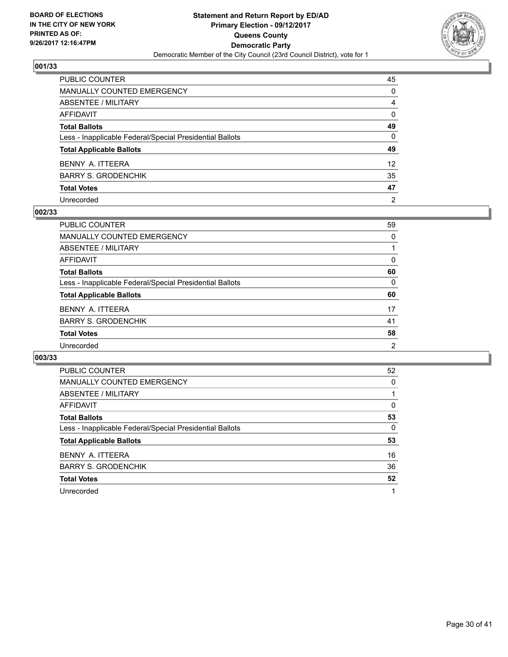

| PUBLIC COUNTER                                           | 45              |
|----------------------------------------------------------|-----------------|
| MANUALLY COUNTED EMERGENCY                               | $\Omega$        |
| <b>ABSENTEE / MILITARY</b>                               | 4               |
| <b>AFFIDAVIT</b>                                         | $\Omega$        |
| <b>Total Ballots</b>                                     | 49              |
| Less - Inapplicable Federal/Special Presidential Ballots | $\mathbf{0}$    |
| <b>Total Applicable Ballots</b>                          | 49              |
| BENNY A. ITTEERA                                         | 12 <sup>2</sup> |
| <b>BARRY S. GRODENCHIK</b>                               | 35              |
| <b>Total Votes</b>                                       | 47              |
| Unrecorded                                               | $\overline{2}$  |

#### **002/33**

| <b>PUBLIC COUNTER</b>                                    | 59 |
|----------------------------------------------------------|----|
| <b>MANUALLY COUNTED EMERGENCY</b>                        | 0  |
| ABSENTEE / MILITARY                                      |    |
| <b>AFFIDAVIT</b>                                         | 0  |
| <b>Total Ballots</b>                                     | 60 |
| Less - Inapplicable Federal/Special Presidential Ballots | 0  |
| <b>Total Applicable Ballots</b>                          | 60 |
| BENNY A. ITTEERA                                         | 17 |
| <b>BARRY S. GRODENCHIK</b>                               | 41 |
| <b>Total Votes</b>                                       | 58 |
| Unrecorded                                               | 2  |
|                                                          |    |

| <b>PUBLIC COUNTER</b>                                    | 52 |
|----------------------------------------------------------|----|
| <b>MANUALLY COUNTED EMERGENCY</b>                        | 0  |
| ABSENTEE / MILITARY                                      |    |
| <b>AFFIDAVIT</b>                                         | 0  |
| <b>Total Ballots</b>                                     | 53 |
| Less - Inapplicable Federal/Special Presidential Ballots | 0  |
| <b>Total Applicable Ballots</b>                          | 53 |
| BENNY A. ITTEERA                                         | 16 |
| <b>BARRY S. GRODENCHIK</b>                               | 36 |
| <b>Total Votes</b>                                       | 52 |
| Unrecorded                                               | 1  |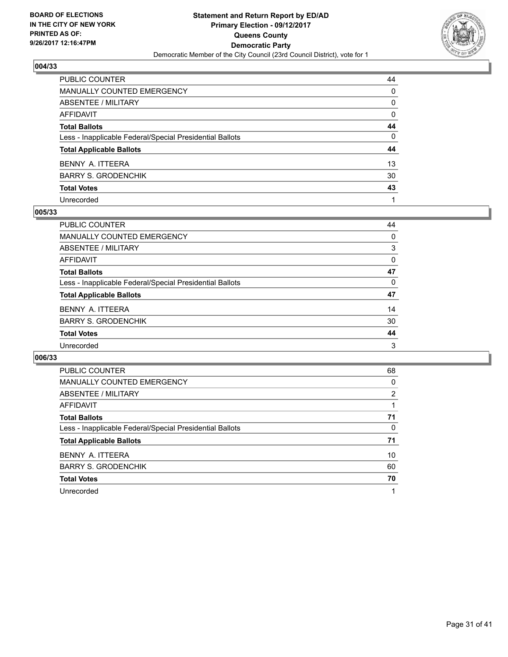

| PUBLIC COUNTER                                           | 44           |
|----------------------------------------------------------|--------------|
| MANUALLY COUNTED EMERGENCY                               | $\Omega$     |
| <b>ABSENTEE / MILITARY</b>                               | $\mathbf{0}$ |
| <b>AFFIDAVIT</b>                                         | $\mathbf{0}$ |
| <b>Total Ballots</b>                                     | 44           |
| Less - Inapplicable Federal/Special Presidential Ballots | $\mathbf{0}$ |
| <b>Total Applicable Ballots</b>                          | 44           |
| BENNY A. ITTEERA                                         | 13           |
| <b>BARRY S. GRODENCHIK</b>                               | 30           |
| <b>Total Votes</b>                                       | 43           |
| Unrecorded                                               |              |

#### **005/33**

| 44 |
|----|
| 0  |
| 3  |
| 0  |
| 47 |
| 0  |
| 47 |
| 14 |
| 30 |
| 44 |
| 3  |
|    |

| <b>PUBLIC COUNTER</b>                                    | 68 |
|----------------------------------------------------------|----|
| <b>MANUALLY COUNTED EMERGENCY</b>                        | 0  |
| ABSENTEE / MILITARY                                      | 2  |
| <b>AFFIDAVIT</b>                                         |    |
| <b>Total Ballots</b>                                     | 71 |
| Less - Inapplicable Federal/Special Presidential Ballots | 0  |
| <b>Total Applicable Ballots</b>                          | 71 |
| BENNY A. ITTEERA                                         | 10 |
| <b>BARRY S. GRODENCHIK</b>                               | 60 |
| <b>Total Votes</b>                                       | 70 |
| Unrecorded                                               |    |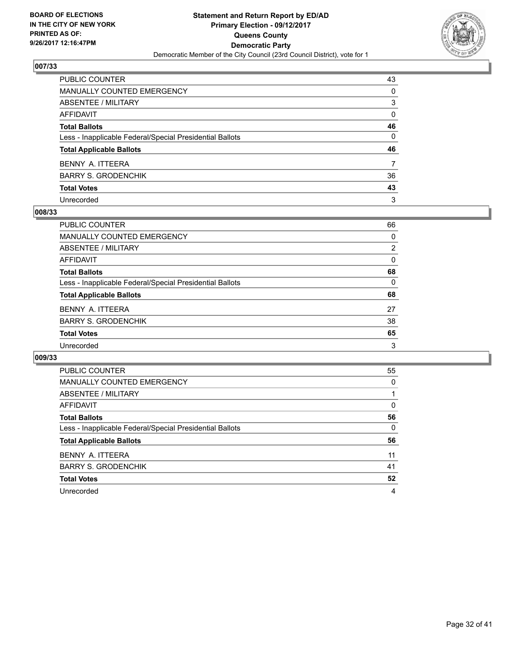

| PUBLIC COUNTER                                           | 43           |
|----------------------------------------------------------|--------------|
| MANUALLY COUNTED EMERGENCY                               | $\Omega$     |
| <b>ABSENTEE / MILITARY</b>                               | 3            |
| <b>AFFIDAVIT</b>                                         | $\mathbf{0}$ |
| <b>Total Ballots</b>                                     | 46           |
| Less - Inapplicable Federal/Special Presidential Ballots | 0            |
| <b>Total Applicable Ballots</b>                          | 46           |
| BENNY A. ITTEERA                                         | 7            |
| <b>BARRY S. GRODENCHIK</b>                               | 36           |
| <b>Total Votes</b>                                       | 43           |
| Unrecorded                                               | 3            |

#### **008/33**

| <b>PUBLIC COUNTER</b>                                    | 66             |
|----------------------------------------------------------|----------------|
| <b>MANUALLY COUNTED EMERGENCY</b>                        | 0              |
| <b>ABSENTEE / MILITARY</b>                               | $\overline{2}$ |
| AFFIDAVIT                                                | $\Omega$       |
| <b>Total Ballots</b>                                     | 68             |
| Less - Inapplicable Federal/Special Presidential Ballots | $\Omega$       |
| <b>Total Applicable Ballots</b>                          | 68             |
| BENNY A. ITTEERA                                         | 27             |
| <b>BARRY S. GRODENCHIK</b>                               | 38             |
| <b>Total Votes</b>                                       | 65             |
| Unrecorded                                               | 3              |

| <b>PUBLIC COUNTER</b>                                    | 55 |
|----------------------------------------------------------|----|
| <b>MANUALLY COUNTED EMERGENCY</b>                        | 0  |
| ABSENTEE / MILITARY                                      |    |
| AFFIDAVIT                                                | 0  |
| <b>Total Ballots</b>                                     | 56 |
| Less - Inapplicable Federal/Special Presidential Ballots | 0  |
| <b>Total Applicable Ballots</b>                          | 56 |
| BENNY A. ITTEERA                                         | 11 |
| <b>BARRY S. GRODENCHIK</b>                               | 41 |
| <b>Total Votes</b>                                       | 52 |
| Unrecorded                                               | 4  |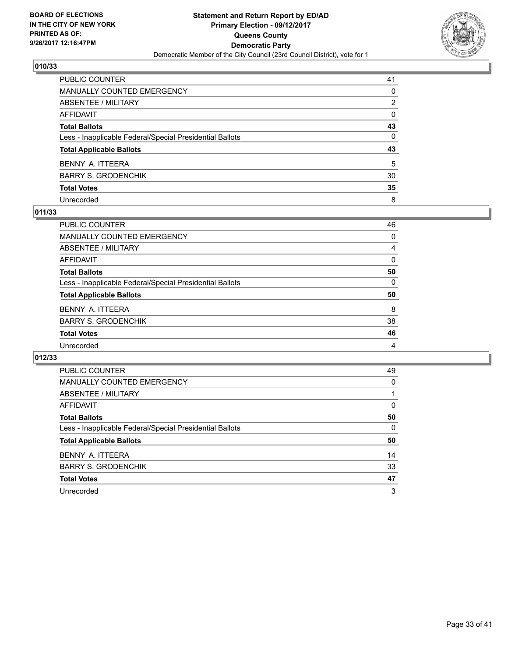

| PUBLIC COUNTER                                           | 41           |
|----------------------------------------------------------|--------------|
| MANUALLY COUNTED EMERGENCY                               | 0            |
| ABSENTEE / MILITARY                                      | 2            |
| AFFIDAVIT                                                | $\mathbf{0}$ |
| Total Ballots                                            | 43           |
| Less - Inapplicable Federal/Special Presidential Ballots | $\mathbf{0}$ |
| <b>Total Applicable Ballots</b>                          | 43           |
| BENNY A. ITTEERA                                         | 5            |
| BARRY S. GRODENCHIK                                      | 30           |
| <b>Total Votes</b>                                       | 35           |
| Unrecorded                                               | 8            |

## **011/33**

| PUBLIC COUNTER                                           | 46 |
|----------------------------------------------------------|----|
| MANUALLY COUNTED EMERGENCY                               | 0  |
| ABSENTEE / MILITARY                                      | 4  |
| AFFIDAVIT                                                | 0  |
| <b>Total Ballots</b>                                     | 50 |
| Less - Inapplicable Federal/Special Presidential Ballots | 0  |
| <b>Total Applicable Ballots</b>                          | 50 |
| BENNY A. ITTEERA                                         | 8  |
| <b>BARRY S. GRODENCHIK</b>                               | 38 |
| <b>Total Votes</b>                                       | 46 |
| Unrecorded                                               | 4  |

| <b>PUBLIC COUNTER</b>                                    | 49 |
|----------------------------------------------------------|----|
| <b>MANUALLY COUNTED EMERGENCY</b>                        | 0  |
| ABSENTEE / MILITARY                                      |    |
| AFFIDAVIT                                                | 0  |
| <b>Total Ballots</b>                                     | 50 |
| Less - Inapplicable Federal/Special Presidential Ballots | 0  |
| <b>Total Applicable Ballots</b>                          | 50 |
| BENNY A. ITTEERA                                         | 14 |
| <b>BARRY S. GRODENCHIK</b>                               | 33 |
| <b>Total Votes</b>                                       | 47 |
| Unrecorded                                               | 3  |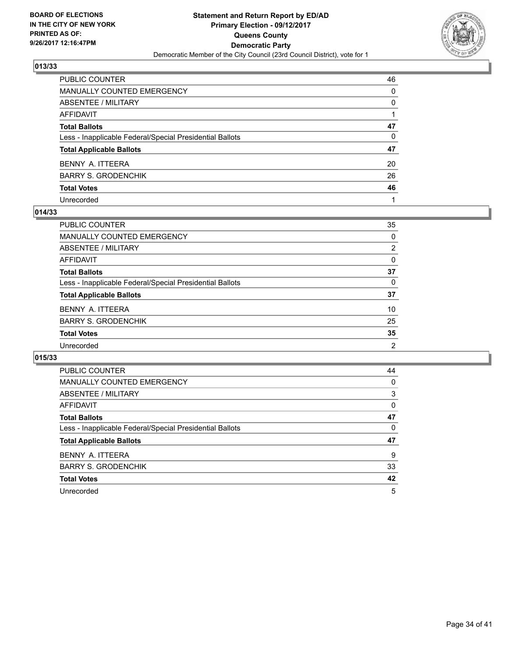

| PUBLIC COUNTER                                           | 46       |
|----------------------------------------------------------|----------|
| <b>MANUALLY COUNTED EMERGENCY</b>                        | 0        |
| <b>ABSENTEE / MILITARY</b>                               | 0        |
| AFFIDAVIT                                                |          |
| <b>Total Ballots</b>                                     | 47       |
| Less - Inapplicable Federal/Special Presidential Ballots | $\Omega$ |
| <b>Total Applicable Ballots</b>                          | 47       |
| BENNY A. ITTEERA                                         | 20       |
| <b>BARRY S. GRODENCHIK</b>                               | 26       |
| <b>Total Votes</b>                                       | 46       |
| Unrecorded                                               |          |

#### **014/33**

| <b>PUBLIC COUNTER</b>                                    | 35             |
|----------------------------------------------------------|----------------|
| <b>MANUALLY COUNTED EMERGENCY</b>                        | 0              |
| ABSENTEE / MILITARY                                      | $\overline{2}$ |
| AFFIDAVIT                                                | 0              |
| <b>Total Ballots</b>                                     | 37             |
| Less - Inapplicable Federal/Special Presidential Ballots | 0              |
| <b>Total Applicable Ballots</b>                          | 37             |
| BENNY A. ITTEERA                                         | 10             |
| <b>BARRY S. GRODENCHIK</b>                               | 25             |
| <b>Total Votes</b>                                       | 35             |
| Unrecorded                                               | $\overline{2}$ |
|                                                          |                |

| <b>PUBLIC COUNTER</b>                                    | 44 |
|----------------------------------------------------------|----|
| <b>MANUALLY COUNTED EMERGENCY</b>                        | 0  |
| ABSENTEE / MILITARY                                      | 3  |
| AFFIDAVIT                                                | 0  |
| <b>Total Ballots</b>                                     | 47 |
| Less - Inapplicable Federal/Special Presidential Ballots | 0  |
| <b>Total Applicable Ballots</b>                          | 47 |
| BENNY A. ITTEERA                                         | 9  |
| <b>BARRY S. GRODENCHIK</b>                               | 33 |
| <b>Total Votes</b>                                       | 42 |
| Unrecorded                                               | 5  |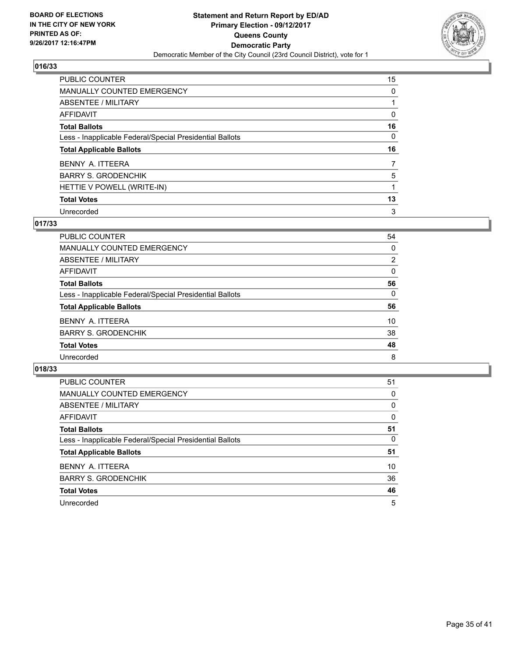

| PUBLIC COUNTER                                           | 15 |
|----------------------------------------------------------|----|
| <b>MANUALLY COUNTED EMERGENCY</b>                        | 0  |
| ABSENTEE / MILITARY                                      |    |
| AFFIDAVIT                                                | 0  |
| <b>Total Ballots</b>                                     | 16 |
| Less - Inapplicable Federal/Special Presidential Ballots | 0  |
| <b>Total Applicable Ballots</b>                          | 16 |
| BENNY A. ITTEERA                                         | 7  |
| <b>BARRY S. GRODENCHIK</b>                               | 5  |
| HETTIE V POWELL (WRITE-IN)                               |    |
| <b>Total Votes</b>                                       | 13 |
|                                                          |    |

# **017/33**

| 54<br>0        |
|----------------|
|                |
|                |
| $\overline{2}$ |
| 0              |
| 56             |
| 0              |
| 56             |
| 10             |
| 38             |
| 48             |
| 8              |
|                |

| <b>PUBLIC COUNTER</b>                                    | 51 |
|----------------------------------------------------------|----|
| <b>MANUALLY COUNTED EMERGENCY</b>                        | 0  |
| ABSENTEE / MILITARY                                      | 0  |
| AFFIDAVIT                                                | 0  |
| <b>Total Ballots</b>                                     | 51 |
| Less - Inapplicable Federal/Special Presidential Ballots | 0  |
| <b>Total Applicable Ballots</b>                          | 51 |
| BENNY A. ITTEERA                                         | 10 |
| <b>BARRY S. GRODENCHIK</b>                               | 36 |
| <b>Total Votes</b>                                       | 46 |
| Unrecorded                                               | 5  |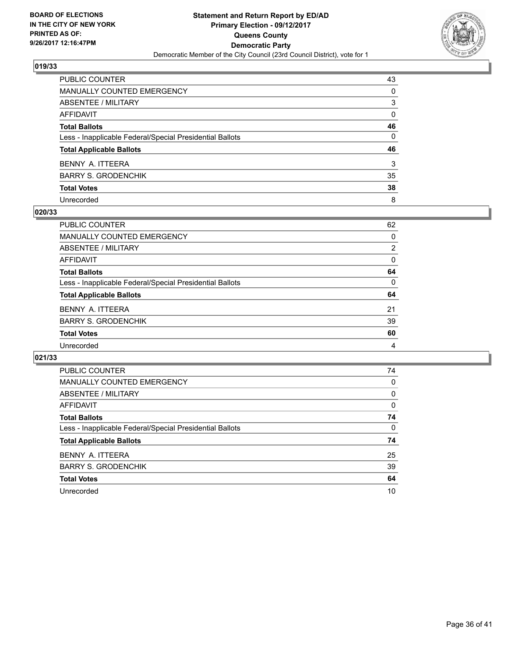

| PUBLIC COUNTER                                           | 43           |
|----------------------------------------------------------|--------------|
| MANUALLY COUNTED EMERGENCY                               | 0            |
| ABSENTEE / MILITARY                                      | 3            |
| AFFIDAVIT                                                | 0            |
| Total Ballots                                            | 46           |
| Less - Inapplicable Federal/Special Presidential Ballots | $\mathbf{0}$ |
| <b>Total Applicable Ballots</b>                          | 46           |
| BENNY A. ITTEERA                                         | 3            |
| BARRY S. GRODENCHIK                                      | 35           |
| <b>Total Votes</b>                                       | 38           |
| Unrecorded                                               | 8            |

#### **020/33**

| <b>PUBLIC COUNTER</b>                                    | 62       |
|----------------------------------------------------------|----------|
| <b>MANUALLY COUNTED EMERGENCY</b>                        | 0        |
| ABSENTEE / MILITARY                                      | 2        |
| AFFIDAVIT                                                | $\Omega$ |
| <b>Total Ballots</b>                                     | 64       |
| Less - Inapplicable Federal/Special Presidential Ballots | $\Omega$ |
| <b>Total Applicable Ballots</b>                          | 64       |
| BENNY A. ITTEERA                                         | 21       |
| <b>BARRY S. GRODENCHIK</b>                               | 39       |
| <b>Total Votes</b>                                       | 60       |
| Unrecorded                                               | 4        |
|                                                          |          |

| <b>PUBLIC COUNTER</b>                                    | 74 |
|----------------------------------------------------------|----|
| <b>MANUALLY COUNTED EMERGENCY</b>                        | 0  |
| ABSENTEE / MILITARY                                      | 0  |
| AFFIDAVIT                                                | 0  |
| <b>Total Ballots</b>                                     | 74 |
| Less - Inapplicable Federal/Special Presidential Ballots | 0  |
| <b>Total Applicable Ballots</b>                          | 74 |
| BENNY A. ITTEERA                                         | 25 |
| <b>BARRY S. GRODENCHIK</b>                               | 39 |
| <b>Total Votes</b>                                       | 64 |
| Unrecorded                                               | 10 |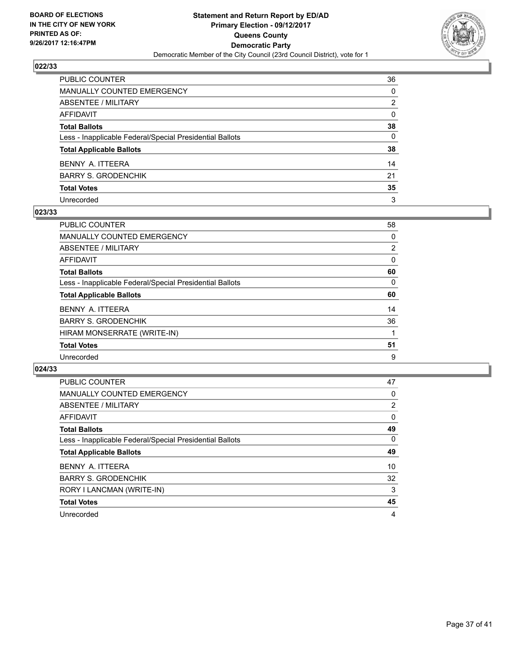

| PUBLIC COUNTER                                           | 36           |
|----------------------------------------------------------|--------------|
| MANUALLY COUNTED EMERGENCY                               | 0            |
| ABSENTEE / MILITARY                                      | 2            |
| AFFIDAVIT                                                | $\mathbf{0}$ |
| Total Ballots                                            | 38           |
| Less - Inapplicable Federal/Special Presidential Ballots | 0            |
| <b>Total Applicable Ballots</b>                          | 38           |
| BENNY A. ITTEERA                                         | 14           |
| BARRY S. GRODENCHIK                                      | 21           |
| <b>Total Votes</b>                                       | 35           |
| Unrecorded                                               | 3            |

#### **023/33**

| PUBLIC COUNTER                                           | 58             |
|----------------------------------------------------------|----------------|
| <b>MANUALLY COUNTED EMERGENCY</b>                        | 0              |
| ABSENTEE / MILITARY                                      | $\overline{2}$ |
| AFFIDAVIT                                                | 0              |
| <b>Total Ballots</b>                                     | 60             |
| Less - Inapplicable Federal/Special Presidential Ballots | 0              |
| <b>Total Applicable Ballots</b>                          | 60             |
| BENNY A. ITTEERA                                         | 14             |
| <b>BARRY S. GRODENCHIK</b>                               | 36             |
| HIRAM MONSERRATE (WRITE-IN)                              |                |
| <b>Total Votes</b>                                       | 51             |
| Unrecorded                                               | 9              |

| <b>PUBLIC COUNTER</b>                                    | 47             |
|----------------------------------------------------------|----------------|
| MANUALLY COUNTED EMERGENCY                               | 0              |
| ABSENTEE / MILITARY                                      | $\overline{2}$ |
| AFFIDAVIT                                                | 0              |
| <b>Total Ballots</b>                                     | 49             |
| Less - Inapplicable Federal/Special Presidential Ballots | $\Omega$       |
| <b>Total Applicable Ballots</b>                          | 49             |
| BENNY A. ITTEERA                                         | 10             |
| <b>BARRY S. GRODENCHIK</b>                               | 32             |
| RORY I LANCMAN (WRITE-IN)                                | 3              |
| <b>Total Votes</b>                                       | 45             |
| Unrecorded                                               | 4              |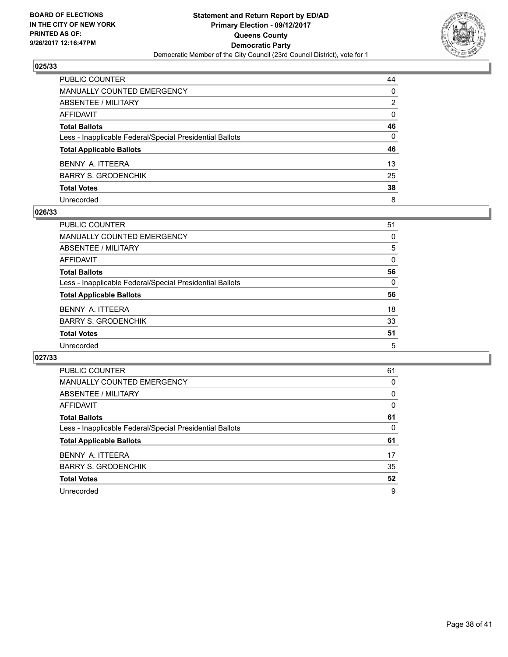

| PUBLIC COUNTER                                           | 44           |
|----------------------------------------------------------|--------------|
| MANUALLY COUNTED EMERGENCY                               | 0            |
| ABSENTEE / MILITARY                                      | 2            |
| AFFIDAVIT                                                | $\mathbf{0}$ |
| Total Ballots                                            | 46           |
| Less - Inapplicable Federal/Special Presidential Ballots | $\mathbf{0}$ |
| <b>Total Applicable Ballots</b>                          | 46           |
| BENNY A. ITTEERA                                         | 13           |
| BARRY S. GRODENCHIK                                      | 25           |
| <b>Total Votes</b>                                       | 38           |
| Unrecorded                                               | 8            |

#### **026/33**

| <b>PUBLIC COUNTER</b>                                    | 51 |
|----------------------------------------------------------|----|
| <b>MANUALLY COUNTED EMERGENCY</b>                        | 0  |
| ABSENTEE / MILITARY                                      | 5  |
| AFFIDAVIT                                                | 0  |
| <b>Total Ballots</b>                                     | 56 |
| Less - Inapplicable Federal/Special Presidential Ballots | 0  |
| <b>Total Applicable Ballots</b>                          | 56 |
| BENNY A. ITTEERA                                         | 18 |
| <b>BARRY S. GRODENCHIK</b>                               | 33 |
| <b>Total Votes</b>                                       | 51 |
| Unrecorded                                               | 5  |

| <b>PUBLIC COUNTER</b>                                    | 61 |
|----------------------------------------------------------|----|
| <b>MANUALLY COUNTED EMERGENCY</b>                        | 0  |
| ABSENTEE / MILITARY                                      | 0  |
| <b>AFFIDAVIT</b>                                         | 0  |
| <b>Total Ballots</b>                                     | 61 |
| Less - Inapplicable Federal/Special Presidential Ballots | 0  |
| <b>Total Applicable Ballots</b>                          | 61 |
| BENNY A. ITTEERA                                         | 17 |
| <b>BARRY S. GRODENCHIK</b>                               | 35 |
| <b>Total Votes</b>                                       | 52 |
| Unrecorded                                               | 9  |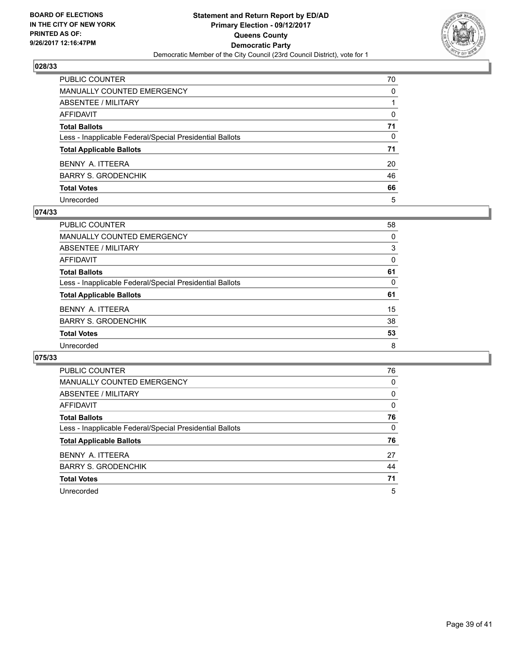

| PUBLIC COUNTER                                           | 70           |
|----------------------------------------------------------|--------------|
| MANUALLY COUNTED EMERGENCY                               | 0            |
| ABSENTEE / MILITARY                                      |              |
| AFFIDAVIT                                                | $\mathbf{0}$ |
| Total Ballots                                            | 71           |
| Less - Inapplicable Federal/Special Presidential Ballots | $\mathbf{0}$ |
| <b>Total Applicable Ballots</b>                          | 71           |
| BENNY A. ITTEERA                                         | 20           |
| BARRY S. GRODENCHIK                                      | 46           |
| <b>Total Votes</b>                                       | 66           |
| Unrecorded                                               | 5            |

#### **074/33**

| <b>PUBLIC COUNTER</b><br><b>MANUALLY COUNTED EMERGENCY</b><br>ABSENTEE / MILITARY<br>AFFIDAVIT<br><b>Total Ballots</b> |
|------------------------------------------------------------------------------------------------------------------------|
|                                                                                                                        |
|                                                                                                                        |
|                                                                                                                        |
|                                                                                                                        |
|                                                                                                                        |
| Less - Inapplicable Federal/Special Presidential Ballots                                                               |
| <b>Total Applicable Ballots</b>                                                                                        |
| BENNY A. ITTEERA                                                                                                       |
| <b>BARRY S. GRODENCHIK</b>                                                                                             |
|                                                                                                                        |
|                                                                                                                        |
| <b>Total Votes</b>                                                                                                     |

| <b>PUBLIC COUNTER</b>                                    | 76 |
|----------------------------------------------------------|----|
| <b>MANUALLY COUNTED EMERGENCY</b>                        | 0  |
| ABSENTEE / MILITARY                                      | 0  |
| AFFIDAVIT                                                | 0  |
| <b>Total Ballots</b>                                     | 76 |
| Less - Inapplicable Federal/Special Presidential Ballots | 0  |
| <b>Total Applicable Ballots</b>                          | 76 |
| BENNY A. ITTEERA                                         | 27 |
| <b>BARRY S. GRODENCHIK</b>                               | 44 |
| <b>Total Votes</b>                                       | 71 |
| Unrecorded                                               | 5  |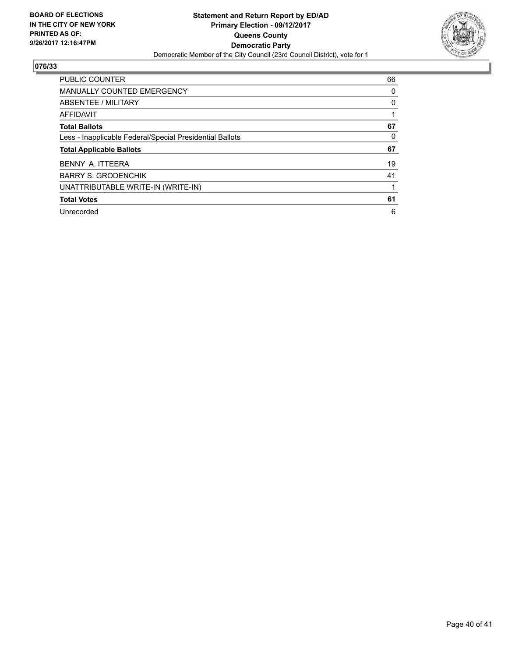

| <b>PUBLIC COUNTER</b>                                    | 66 |
|----------------------------------------------------------|----|
| <b>MANUALLY COUNTED EMERGENCY</b>                        | 0  |
| ABSENTEE / MILITARY                                      | 0  |
| <b>AFFIDAVIT</b>                                         |    |
| <b>Total Ballots</b>                                     | 67 |
| Less - Inapplicable Federal/Special Presidential Ballots | 0  |
| <b>Total Applicable Ballots</b>                          | 67 |
| BENNY A. ITTEERA                                         | 19 |
| <b>BARRY S. GRODENCHIK</b>                               | 41 |
| UNATTRIBUTABLE WRITE-IN (WRITE-IN)                       |    |
| <b>Total Votes</b>                                       | 61 |
| Unrecorded                                               | 6  |